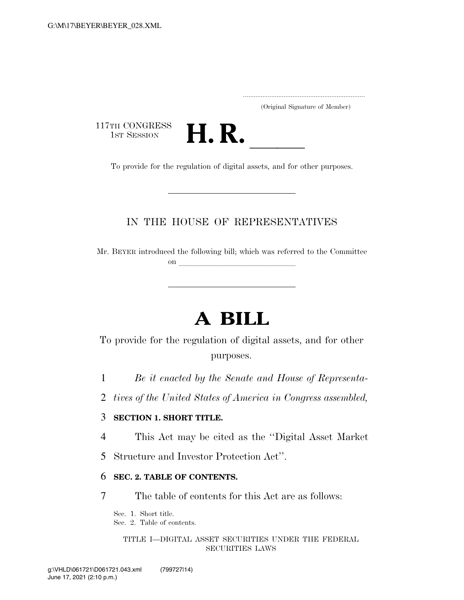(Original Signature of Member)

117TH CONGRESS<br>1st Session



TH CONGRESS<br>1st SESSION **H. R.** <u>International Consections of digital assets</u>, and for other purposes.

### IN THE HOUSE OF REPRESENTATIVES

Mr. BEYER introduced the following bill; which was referred to the Committee on  $\overline{\qquad \qquad }$ 

# **A BILL**

To provide for the regulation of digital assets, and for other purposes.

1 *Be it enacted by the Senate and House of Representa-*

2 *tives of the United States of America in Congress assembled,* 

### 3 **SECTION 1. SHORT TITLE.**

4 This Act may be cited as the ''Digital Asset Market

5 Structure and Investor Protection Act''.

### 6 **SEC. 2. TABLE OF CONTENTS.**

7 The table of contents for this Act are as follows:

Sec. 1. Short title. Sec. 2. Table of contents.

> TITLE I—DIGITAL ASSET SECURITIES UNDER THE FEDERAL SECURITIES LAWS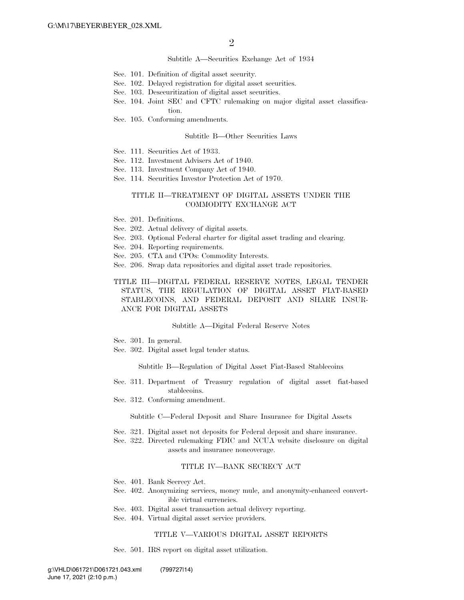#### Subtitle A—Securities Exchange Act of 1934

- Sec. 101. Definition of digital asset security.
- Sec. 102. Delayed registration for digital asset securities.
- Sec. 103. Desecuritization of digital asset securities.
- Sec. 104. Joint SEC and CFTC rulemaking on major digital asset classification.
- Sec. 105. Conforming amendments.

#### Subtitle B—Other Securities Laws

- Sec. 111. Securities Act of 1933.
- Sec. 112. Investment Advisers Act of 1940.
- Sec. 113. Investment Company Act of 1940.
- Sec. 114. Securities Investor Protection Act of 1970.

#### TITLE II—TREATMENT OF DIGITAL ASSETS UNDER THE COMMODITY EXCHANGE ACT

- Sec. 201. Definitions.
- Sec. 202. Actual delivery of digital assets.
- Sec. 203. Optional Federal charter for digital asset trading and clearing.
- Sec. 204. Reporting requirements.
- Sec. 205. CTA and CPOs: Commodity Interests.

Sec. 206. Swap data repositories and digital asset trade repositories.

#### TITLE III—DIGITAL FEDERAL RESERVE NOTES, LEGAL TENDER STATUS, THE REGULATION OF DIGITAL ASSET FIAT-BASED STABLECOINS, AND FEDERAL DEPOSIT AND SHARE INSUR-ANCE FOR DIGITAL ASSETS

#### Subtitle A—Digital Federal Reserve Notes

- Sec. 301. In general.
- Sec. 302. Digital asset legal tender status.

Subtitle B—Regulation of Digital Asset Fiat-Based Stablecoins

- Sec. 311. Department of Treasury regulation of digital asset fiat-based stablecoins.
- Sec. 312. Conforming amendment.

Subtitle C—Federal Deposit and Share Insurance for Digital Assets

- Sec. 321. Digital asset not deposits for Federal deposit and share insurance.
- Sec. 322. Directed rulemaking FDIC and NCUA website disclosure on digital assets and insurance noncoverage.

#### TITLE IV—BANK SECRECY ACT

- Sec. 401. Bank Secrecy Act.
- Sec. 402. Anonymizing services, money mule, and anonymity-enhanced convertible virtual currencies.
- Sec. 403. Digital asset transaction actual delivery reporting.
- Sec. 404. Virtual digital asset service providers.

#### TITLE V—VARIOUS DIGITAL ASSET REPORTS

Sec. 501. IRS report on digital asset utilization.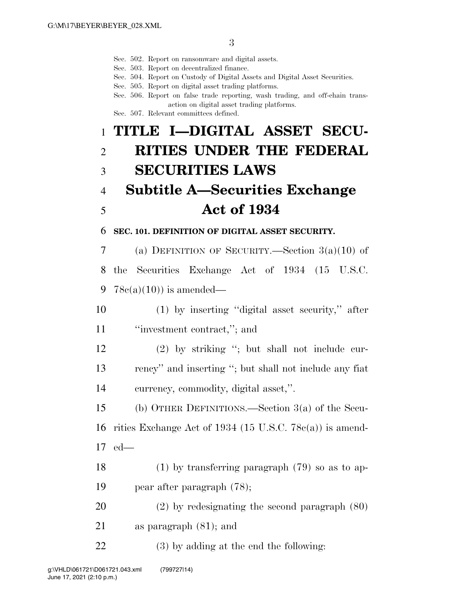Sec. 502. Report on ransomware and digital assets. Sec. 503. Report on decentralized finance. Sec. 504. Report on Custody of Digital Assets and Digital Asset Securities. Sec. 505. Report on digital asset trading platforms. Sec. 506. Report on false trade reporting, wash trading, and off-chain transaction on digital asset trading platforms. Sec. 507. Relevant committees defined. **TITLE I—DIGITAL ASSET SECU- RITIES UNDER THE FEDERAL SECURITIES LAWS Subtitle A—Securities Exchange Act of 1934 SEC. 101. DEFINITION OF DIGITAL ASSET SECURITY.**  (a) DEFINITION OF SECURITY.—Section 3(a)(10) of the Securities Exchange Act of 1934 (15 U.S.C. 9 78 $c(a)(10)$  is amended— (1) by inserting ''digital asset security,'' after ''investment contract,''; and (2) by striking ''; but shall not include cur- rency'' and inserting ''; but shall not include any fiat currency, commodity, digital asset,''. (b) OTHER DEFINITIONS.—Section 3(a) of the Secu- rities Exchange Act of 1934 (15 U.S.C. 78c(a)) is amend- ed— (1) by transferring paragraph (79) so as to ap- pear after paragraph (78); (2) by redesignating the second paragraph (80) as paragraph (81); and (3) by adding at the end the following: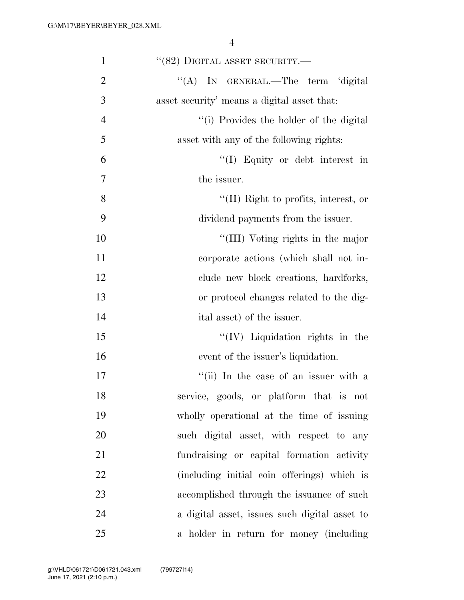| $\mathbf{1}$   | $``(82)$ DIGITAL ASSET SECURITY.—             |
|----------------|-----------------------------------------------|
| $\overline{2}$ | "(A) IN GENERAL.—The term 'digital            |
| 3              | asset security' means a digital asset that:   |
| $\overline{4}$ | "(i) Provides the holder of the digital       |
| 5              | asset with any of the following rights:       |
| 6              | "(I) Equity or debt interest in               |
| 7              | the issuer.                                   |
| 8              | "(II) Right to profits, interest, or          |
| 9              | dividend payments from the issuer.            |
| 10             | "(III) Voting rights in the major             |
| 11             | corporate actions (which shall not in-        |
| 12             | clude new block creations, hardforks,         |
| 13             | or protocol changes related to the dig-       |
| 14             | ital asset) of the issuer.                    |
| 15             | $\lq\lq$ (IV) Liquidation rights in the       |
| 16             | event of the issuer's liquidation.            |
| 17             | "(ii) In the case of an issuer with a         |
| 18             | service, goods, or platform that is not       |
| 19             | wholly operational at the time of issuing     |
| 20             | such digital asset, with respect to any       |
| 21             | fundraising or capital formation activity     |
| 22             | (including initial coin offerings) which is   |
| 23             | accomplished through the issuance of such     |
| 24             | a digital asset, issues such digital asset to |
| 25             | a holder in return for money (including       |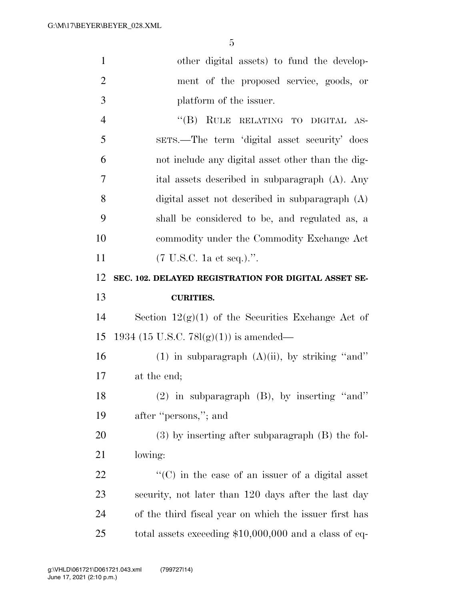| $\mathbf{1}$   | other digital assets) to fund the develop-             |
|----------------|--------------------------------------------------------|
| $\overline{2}$ | ment of the proposed service, goods, or                |
| 3              | platform of the issuer.                                |
| $\overline{4}$ | ``(B)<br>RULE RELATING TO DIGITAL AS-                  |
| 5              | SETS.—The term 'digital asset security' does           |
| 6              | not include any digital asset other than the dig-      |
| 7              | ital assets described in subparagraph (A). Any         |
| 8              | digital asset not described in subparagraph $(A)$      |
| 9              | shall be considered to be, and regulated as, a         |
| 10             | commodity under the Commodity Exchange Act             |
| 11             | $(7 \text{ U.S.C. 1a et seq.})$ .".                    |
| 12             | SEC. 102. DELAYED REGISTRATION FOR DIGITAL ASSET SE-   |
|                |                                                        |
| 13             | <b>CURITIES.</b>                                       |
| 14             | Section $12(g)(1)$ of the Securities Exchange Act of   |
| 15             | 1934 (15 U.S.C. 78l(g)(1)) is amended—                 |
| 16             | (1) in subparagraph $(A)(ii)$ , by striking "and"      |
| 17             | at the end;                                            |
| 18             | $(2)$ in subparagraph $(B)$ , by inserting "and"       |
| 19             | after "persons,"; and                                  |
| 20             | $(3)$ by inserting after subparagraph $(B)$ the fol-   |
| 21             | lowing:                                                |
| 22             | "(C) in the case of an issuer of a digital asset       |
| 23             | security, not later than 120 days after the last day   |
| 24             | of the third fiscal year on which the issuer first has |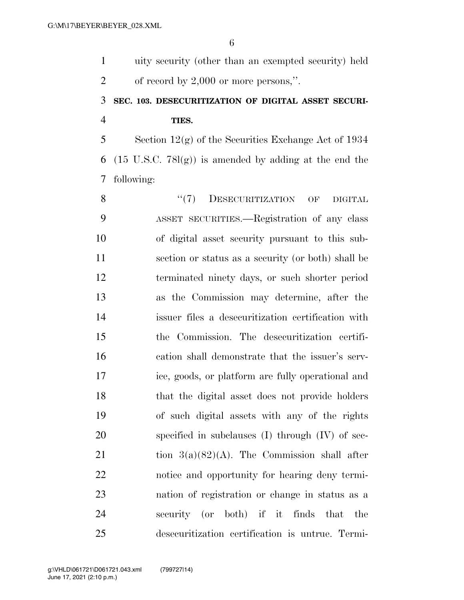uity security (other than an exempted security) held 2 of record by 2,000 or more persons,".

## **SEC. 103. DESECURITIZATION OF DIGITAL ASSET SECURI-TIES.**

5 Section  $12(g)$  of the Securities Exchange Act of 1934 6 (15 U.S.C. 78 $(q)$ ) is amended by adding at the end the following:

8 "(7) DESECURITIZATION OF DIGITAL ASSET SECURITIES.—Registration of any class of digital asset security pursuant to this sub- section or status as a security (or both) shall be terminated ninety days, or such shorter period as the Commission may determine, after the issuer files a desecuritization certification with the Commission. The desecuritization certifi- cation shall demonstrate that the issuer's serv- ice, goods, or platform are fully operational and that the digital asset does not provide holders of such digital assets with any of the rights specified in subclauses (I) through (IV) of sec-21 tion  $3(a)(82)(A)$ . The Commission shall after notice and opportunity for hearing deny termi- nation of registration or change in status as a security (or both) if it finds that the desecuritization certification is untrue. Termi-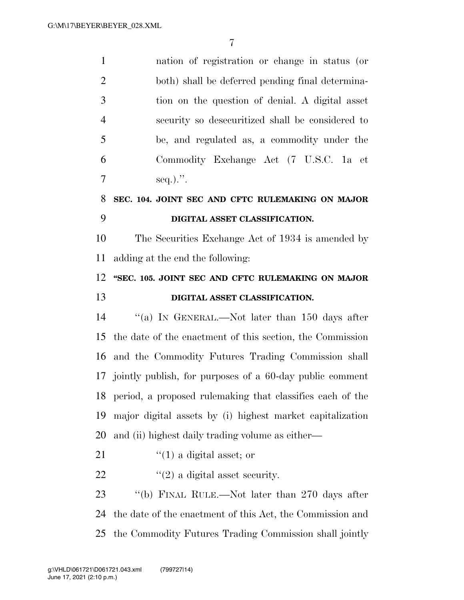| $\mathbf{1}$   | nation of registration or change in status (or               |
|----------------|--------------------------------------------------------------|
| $\overline{2}$ | both) shall be deferred pending final determina-             |
| 3              | tion on the question of denial. A digital asset              |
| $\overline{4}$ | security so desecuritized shall be considered to             |
| 5              | be, and regulated as, a commodity under the                  |
| 6              | Commodity Exchange Act (7 U.S.C. 1a et                       |
| $\overline{7}$ | $seq.$                                                       |
| 8              | SEC. 104. JOINT SEC AND CFTC RULEMAKING ON MAJOR             |
| 9              | DIGITAL ASSET CLASSIFICATION.                                |
| 10             | The Securities Exchange Act of 1934 is amended by            |
| 11             | adding at the end the following:                             |
| 12             | "SEC. 105. JOINT SEC AND CFTC RULEMAKING ON MAJOR            |
|                |                                                              |
| 13             | DIGITAL ASSET CLASSIFICATION.                                |
| 14             | "(a) IN GENERAL.—Not later than $150$ days after             |
| 15             | the date of the enactment of this section, the Commission    |
| 16             | and the Commodity Futures Trading Commission shall           |
|                | 17 jointly publish, for purposes of a 60-day public comment  |
|                | 18 period, a proposed rulemaking that classifies each of the |
| 19             | major digital assets by (i) highest market capitalization    |
| 20             | and (ii) highest daily trading volume as either—             |
| 21             | $\lq(1)$ a digital asset; or                                 |
| 22             | $\lq(2)$ a digital asset security.                           |
| 23             | "(b) FINAL RULE.—Not later than 270 days after               |

the Commodity Futures Trading Commission shall jointly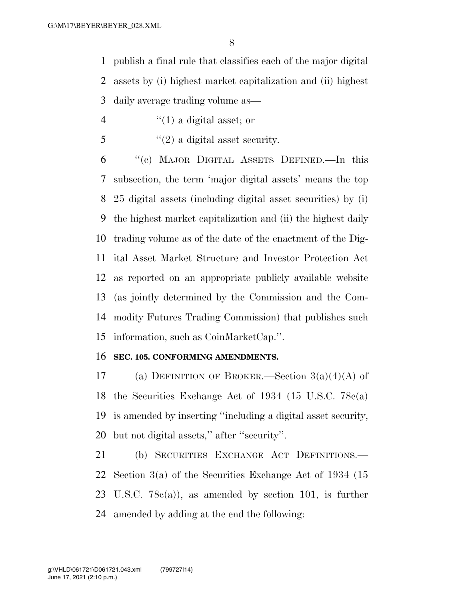publish a final rule that classifies each of the major digital assets by (i) highest market capitalization and (ii) highest daily average trading volume as—

- 4  $(1)$  a digital asset; or
- ''(2) a digital asset security.

 ''(c) MAJOR DIGITAL ASSETS DEFINED.—In this subsection, the term 'major digital assets' means the top 25 digital assets (including digital asset securities) by (i) the highest market capitalization and (ii) the highest daily trading volume as of the date of the enactment of the Dig- ital Asset Market Structure and Investor Protection Act as reported on an appropriate publicly available website (as jointly determined by the Commission and the Com- modity Futures Trading Commission) that publishes such information, such as CoinMarketCap.''.

### **SEC. 105. CONFORMING AMENDMENTS.**

17 (a) DEFINITION OF BROKER.—Section  $3(a)(4)(A)$  of the Securities Exchange Act of 1934 (15 U.S.C. 78c(a) is amended by inserting ''including a digital asset security, but not digital assets,'' after ''security''.

 (b) SECURITIES EXCHANGE ACT DEFINITIONS.— Section 3(a) of the Securities Exchange Act of 1934 (15 U.S.C. 78c(a)), as amended by section 101, is further amended by adding at the end the following: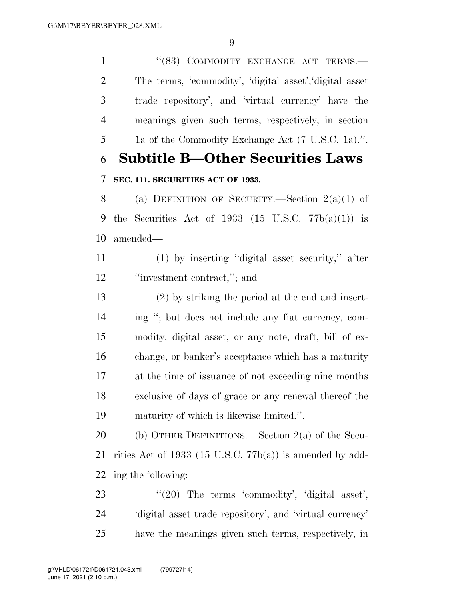1 "(83) COMMODITY EXCHANGE ACT TERMS.— The terms, 'commodity', 'digital asset','digital asset trade repository', and 'virtual currency' have the meanings given such terms, respectively, in section 1a of the Commodity Exchange Act (7 U.S.C. 1a).''. **Subtitle B—Other Securities Laws** 

## **SEC. 111. SECURITIES ACT OF 1933.**

8 (a) DEFINITION OF SECURITY.—Section  $2(a)(1)$  of 9 the Securities Act of 1933  $(15 \text{ U.S.C. } 77b(a)(1))$  is amended—

 (1) by inserting ''digital asset security,'' after ''investment contract,''; and

 (2) by striking the period at the end and insert- ing ''; but does not include any fiat currency, com- modity, digital asset, or any note, draft, bill of ex- change, or banker's acceptance which has a maturity at the time of issuance of not exceeding nine months exclusive of days of grace or any renewal thereof the maturity of which is likewise limited.''.

 (b) OTHER DEFINITIONS.—Section 2(a) of the Secu- rities Act of 1933 (15 U.S.C. 77b(a)) is amended by add-ing the following:

23  $(20)$  The terms 'commodity', 'digital asset', 'digital asset trade repository', and 'virtual currency' have the meanings given such terms, respectively, in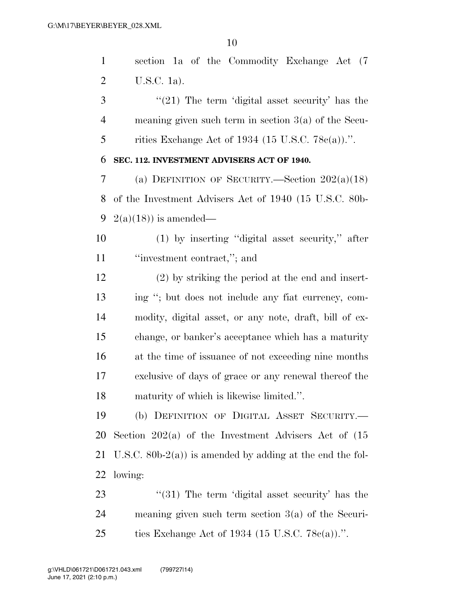section 1a of the Commodity Exchange Act (7 U.S.C. 1a).

 ''(21) The term 'digital asset security' has the meaning given such term in section 3(a) of the Secu-5 rities Exchange Act of 1934  $(15 \text{ U.S.C. } 78c(a))$ .

### **SEC. 112. INVESTMENT ADVISERS ACT OF 1940.**

 (a) DEFINITION OF SECURITY.—Section 202(a)(18) of the Investment Advisers Act of 1940 (15 U.S.C. 80b-9 2(a)(18)) is amended—

 (1) by inserting ''digital asset security,'' after ''investment contract,''; and

 (2) by striking the period at the end and insert- ing ''; but does not include any fiat currency, com- modity, digital asset, or any note, draft, bill of ex- change, or banker's acceptance which has a maturity at the time of issuance of not exceeding nine months exclusive of days of grace or any renewal thereof the maturity of which is likewise limited.''.

 (b) DEFINITION OF DIGITAL ASSET SECURITY.— Section 202(a) of the Investment Advisers Act of (15 21 U.S.C. 80b-2(a)) is amended by adding at the end the fol-lowing:

23 "(31) The term 'digital asset security' has the meaning given such term section 3(a) of the Securi-ties Exchange Act of 1934 (15 U.S.C. 78c(a)).''.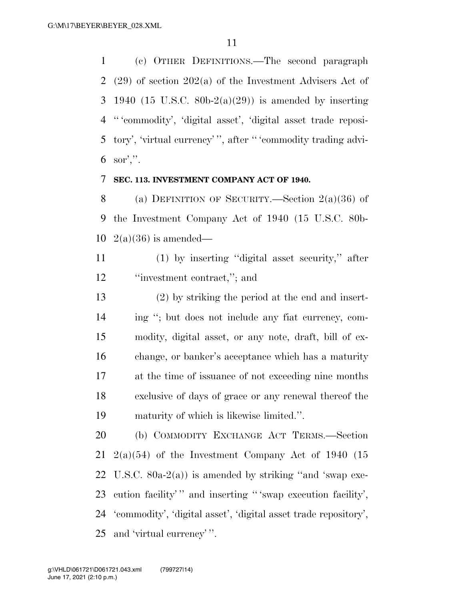(c) OTHER DEFINITIONS.—The second paragraph (29) of section 202(a) of the Investment Advisers Act of 3 1940 (15 U.S.C. 80b-2(a)(29)) is amended by inserting '' 'commodity', 'digital asset', 'digital asset trade reposi- tory', 'virtual currency' '', after '' 'commodity trading advi-sor',''.

### **SEC. 113. INVESTMENT COMPANY ACT OF 1940.**

 (a) DEFINITION OF SECURITY.—Section 2(a)(36) of the Investment Company Act of 1940 (15 U.S.C. 80b-10  $2(a)(36)$  is amended—

 (1) by inserting ''digital asset security,'' after 12 ''investment contract,"; and

 (2) by striking the period at the end and insert- ing ''; but does not include any fiat currency, com- modity, digital asset, or any note, draft, bill of ex- change, or banker's acceptance which has a maturity at the time of issuance of not exceeding nine months exclusive of days of grace or any renewal thereof the maturity of which is likewise limited.''.

 (b) COMMODITY EXCHANGE ACT TERMS.—Section  $21 \quad 2(a)(54)$  of the Investment Company Act of 1940 (15 U.S.C. 80a-2(a)) is amended by striking ''and 'swap exe-23 cution facility'' and inserting "'swap execution facility', 'commodity', 'digital asset', 'digital asset trade repository', and 'virtual currency' ''.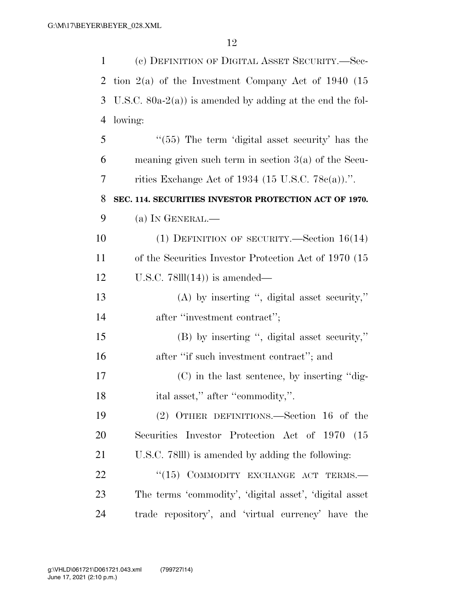| $\mathbf{1}$   | (c) DEFINITION OF DIGITAL ASSET SECURITY.—Sec-              |
|----------------|-------------------------------------------------------------|
| 2              | tion $2(a)$ of the Investment Company Act of 1940 (15       |
| 3              | U.S.C. $80a-2(a)$ is amended by adding at the end the fol-  |
| $\overline{4}$ | lowing:                                                     |
| 5              | $\cdot\cdot$ (55) The term 'digital asset security' has the |
| 6              | meaning given such term in section $3(a)$ of the Secu-      |
| 7              | rities Exchange Act of 1934 (15 U.S.C. $78c(a)$ ).".        |
| 8              | SEC. 114. SECURITIES INVESTOR PROTECTION ACT OF 1970.       |
| 9              | (a) IN GENERAL.—                                            |
| 10             | (1) DEFINITION OF SECURITY.—Section $16(14)$                |
| 11             | of the Securities Investor Protection Act of 1970 (15       |
| 12             | U.S.C. $78III(14)$ is amended—                              |
| 13             | $(A)$ by inserting ", digital asset security,"              |
| 14             | after "investment contract";                                |
| 15             | (B) by inserting ", digital asset security,"                |
| 16             | after "if such investment contract"; and                    |
| 17             | (C) in the last sentence, by inserting "dig-                |
| 18             | ital asset," after "commodity,".                            |
| 19             | (2) OTHER DEFINITIONS.—Section 16 of the                    |
| 20             | Securities Investor Protection Act of 1970 (15              |
| 21             | U.S.C. 78III) is amended by adding the following:           |
| 22             | "(15) COMMODITY EXCHANGE ACT TERMS.-                        |
| 23             | The terms 'commodity', 'digital asset', 'digital asset      |
| 24             | trade repository', and 'virtual currency' have the          |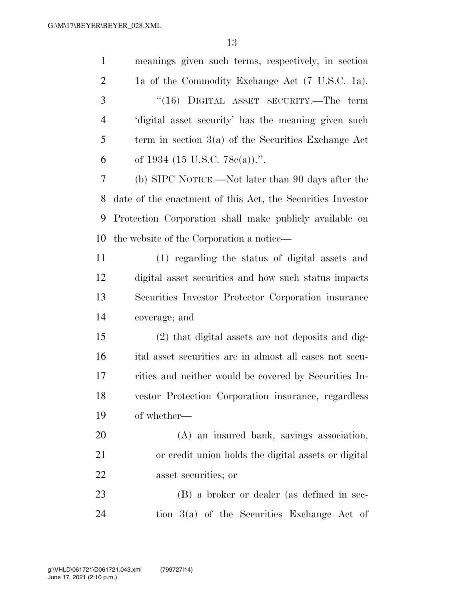| $\mathbf{1}$   | meanings given such terms, respectively, in section        |
|----------------|------------------------------------------------------------|
| $\overline{2}$ | 1a of the Commodity Exchange Act (7 U.S.C. 1a).            |
| 3              | "(16) DIGITAL ASSET SECURITY.—The term                     |
| $\overline{4}$ | digital asset security' has the meaning given such         |
| 5              | term in section $3(a)$ of the Securities Exchange Act      |
| 6              | of 1934 (15 U.S.C. 78 $e(a)$ ).".                          |
| 7              | (b) SIPC NOTICE.—Not later than 90 days after the          |
| 8              | date of the enactment of this Act, the Securities Investor |
| 9              | Protection Corporation shall make publicly available on    |
| 10             | the website of the Corporation a notice—                   |
| 11             | (1) regarding the status of digital assets and             |
| 12             | digital asset securities and how such status impacts       |
| 13             | Securities Investor Protector Corporation insurance        |
| 14             | coverage; and                                              |
| 15             | (2) that digital assets are not deposits and dig-          |
| 16             | ital asset securities are in almost all cases not secu-    |
| 17             | rities and neither would be covered by Securities In-      |
| 18             | vestor Protection Corporation insurance, regardless        |
| 19             | of whether—                                                |
| 20             | (A) an insured bank, savings association,                  |
| 21             | or credit union holds the digital assets or digital        |
| 22             | asset securities; or                                       |
| 23             | (B) a broker or dealer (as defined in sec-                 |
| 24             | tion 3(a) of the Securities Exchange Act of                |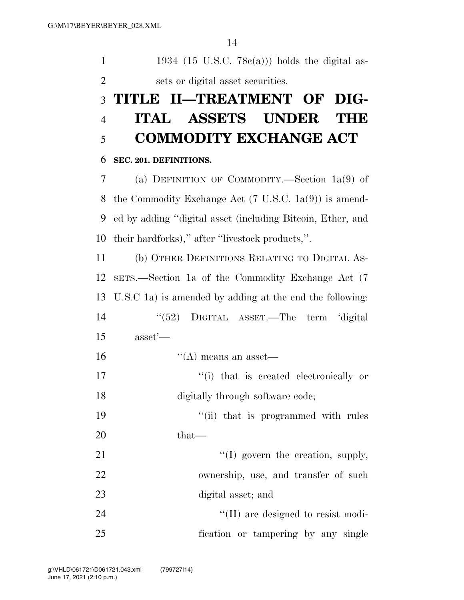1 1934 (15 U.S.C. 78 $c(a)$ )) holds the digital as-2 sets or digital asset securities. **TITLE II—TREATMENT OF DIG- ITAL ASSETS UNDER THE COMMODITY EXCHANGE ACT** 

### **SEC. 201. DEFINITIONS.**

 (a) DEFINITION OF COMMODITY.—Section 1a(9) of the Commodity Exchange Act (7 U.S.C. 1a(9)) is amend- ed by adding ''digital asset (including Bitcoin, Ether, and their hardforks),'' after ''livestock products,''.

 (b) OTHER DEFINITIONS RELATING TO DIGITAL AS- SETS.—Section 1a of the Commodity Exchange Act (7 U.S.C 1a) is amended by adding at the end the following: 14 "(52) DIGITAL ASSET.—The term 'digital asset'—

''(A) means an asset—

17  $\frac{1}{10}$  that is created electronically or 18 digitally through software code;

19  $\frac{1}{10}$  that is programmed with rules 20 that—

21 ''(I) govern the creation, supply, ownership, use, and transfer of such digital asset; and

  $\text{``(II)}$  are designed to resist modi-fication or tampering by any single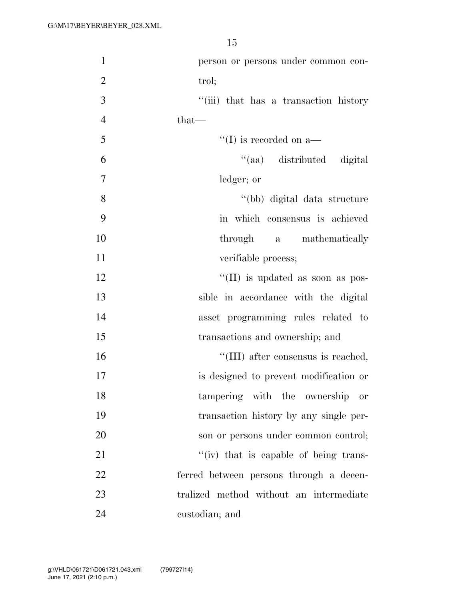| $\mathbf{1}$   | person or persons under common con-     |
|----------------|-----------------------------------------|
| $\overline{2}$ | trol;                                   |
| 3              | "(iii) that has a transaction history   |
| $\overline{4}$ | $that$ —                                |
| 5              | $\lq\lq$ (I) is recorded on a—          |
| 6              | "(aa) distributed digital               |
| 7              | ledger; or                              |
| 8              | "(bb) digital data structure            |
| 9              | in which consensus is achieved          |
| 10             | through a mathematically                |
| 11             | verifiable process;                     |
| 12             | "(II) is updated as soon as pos-        |
| 13             | sible in accordance with the digital    |
| 14             | asset programming rules related to      |
| 15             | transactions and ownership; and         |
| 16             | "(III) after consensus is reached,      |
| 17             | is designed to prevent modification or  |
| 18             | tampering with the ownership or         |
| 19             | transaction history by any single per-  |
| 20             | son or persons under common control;    |
| 21             | "(iv) that is capable of being trans-   |
| 22             | ferred between persons through a decen- |
| 23             | tralized method without an intermediate |
| 24             | custodian; and                          |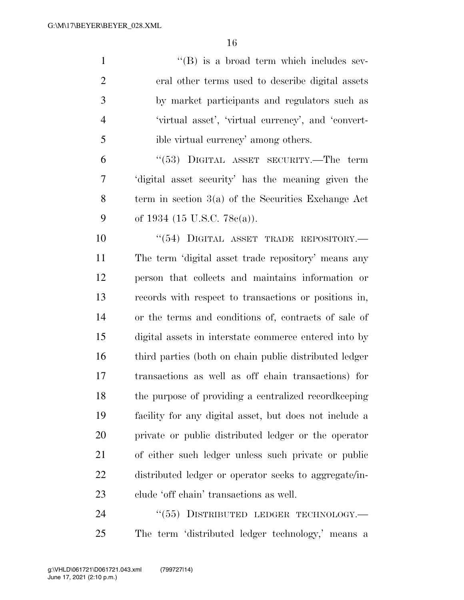1 ''(B) is a broad term which includes sev- eral other terms used to describe digital assets by market participants and regulators such as 'virtual asset', 'virtual currency', and 'convert-ible virtual currency' among others.

 ''(53) DIGITAL ASSET SECURITY.—The term 'digital asset security' has the meaning given the term in section 3(a) of the Securities Exchange Act 9 of 1934 (15 U.S.C. 78 $c(a)$ ).

10 "(54) DIGITAL ASSET TRADE REPOSITORY.— The term 'digital asset trade repository' means any person that collects and maintains information or records with respect to transactions or positions in, or the terms and conditions of, contracts of sale of digital assets in interstate commerce entered into by third parties (both on chain public distributed ledger transactions as well as off chain transactions) for the purpose of providing a centralized recordkeeping facility for any digital asset, but does not include a private or public distributed ledger or the operator of either such ledger unless such private or public distributed ledger or operator seeks to aggregate/in-clude 'off chain' transactions as well.

24 "(55) DISTRIBUTED LEDGER TECHNOLOGY.— The term 'distributed ledger technology,' means a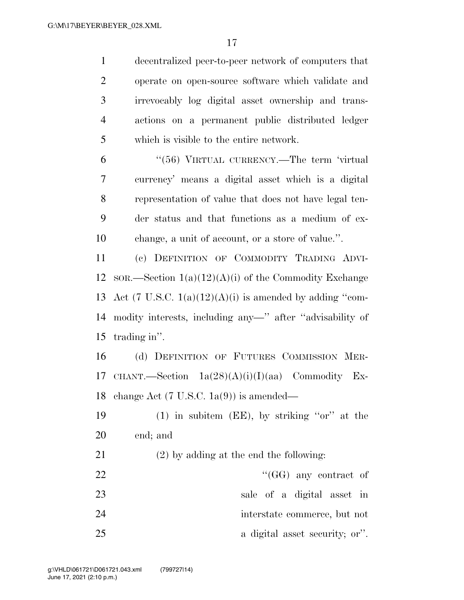decentralized peer-to-peer network of computers that operate on open-source software which validate and irrevocably log digital asset ownership and trans- actions on a permanent public distributed ledger which is visible to the entire network.

 ''(56) VIRTUAL CURRENCY.—The term 'virtual currency' means a digital asset which is a digital representation of value that does not have legal ten- der status and that functions as a medium of ex-change, a unit of account, or a store of value.''.

 (c) DEFINITION OF COMMODITY TRADING ADVI-12 sor.—Section  $1(a)(12)(A)(i)$  of the Commodity Exchange 13 Act (7 U.S.C.  $1(a)(12)(A)(i)$  is amended by adding "com- modity interests, including any—'' after ''advisability of trading in''.

 (d) DEFINITION OF FUTURES COMMISSION MER-17 CHANT.—Section  $1a(28)(A)(i)(I)(aa)$  Commodity Ex-18 change Act (7 U.S.C.  $1a(9)$ ) is amended—

 (1) in subitem (EE), by striking ''or'' at the end; and

(2) by adding at the end the following:

| 22 | " $(GG)$ any contract of       |
|----|--------------------------------|
| 23 | sale of a digital asset in     |
| 24 | interstate commerce, but not   |
| 25 | a digital asset security; or". |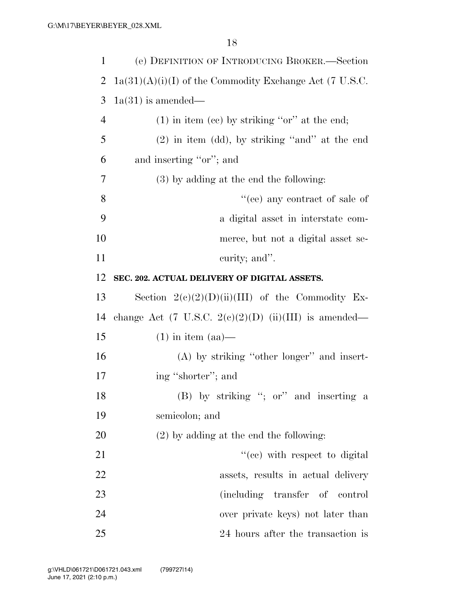| $\mathbf{1}$   | (e) DEFINITION OF INTRODUCING BROKER.—Section                      |
|----------------|--------------------------------------------------------------------|
| $\overline{2}$ | $1a(31)(A)(i)(I)$ of the Commodity Exchange Act (7 U.S.C.          |
| 3              | $1a(31)$ is amended—                                               |
| $\overline{4}$ | $(1)$ in item (cc) by striking "or" at the end;                    |
| 5              | $(2)$ in item (dd), by striking "and" at the end                   |
| 6              | and inserting "or"; and                                            |
| 7              | $(3)$ by adding at the end the following:                          |
| 8              | "(ee) any contract of sale of                                      |
| 9              | a digital asset in interstate com-                                 |
| 10             | merce, but not a digital asset se-                                 |
| 11             | curity; and".                                                      |
| 12             | SEC. 202. ACTUAL DELIVERY OF DIGITAL ASSETS.                       |
| 13             | Section $2(c)(2)(D)(ii)(III)$ of the Commodity Ex-                 |
| 14             | change Act $(7 \text{ U.S.C. } 2(e)(2)(D)$ $(ii)(III)$ is amended— |
| 15             | $(1)$ in item $(aa)$ —                                             |
| 16             | (A) by striking "other longer" and insert-                         |
| 17             | ing "shorter"; and                                                 |
| 18             | (B) by striking "; or" and inserting a                             |
| 19             | semicolon; and                                                     |
| 20             | $(2)$ by adding at the end the following:                          |
| 21             | "(ce) with respect to digital                                      |
| 22             | assets, results in actual delivery                                 |
| 23             | (including transfer of control                                     |
| 24             | over private keys) not later than                                  |
| 25             | 24 hours after the transaction is                                  |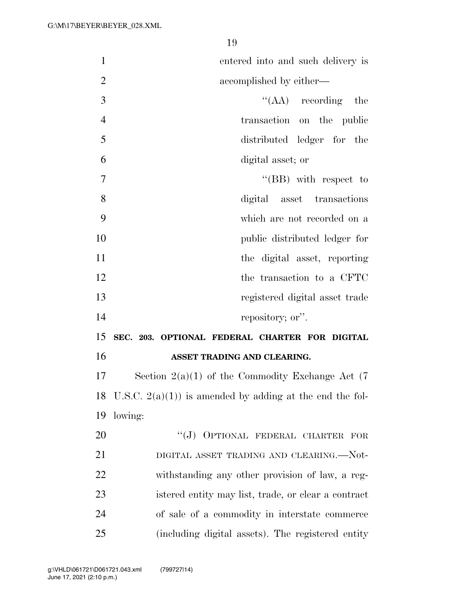| $\mathbf{1}$   | entered into and such delivery is                         |
|----------------|-----------------------------------------------------------|
| $\overline{2}$ | accomplished by either—                                   |
| 3              | $\lq\lq (AA)$ recording the                               |
| $\overline{4}$ | transaction on the public                                 |
| 5              | distributed ledger for the                                |
| 6              | digital asset; or                                         |
| 7              | $\lq\lq$ (BB) with respect to                             |
| 8              | digital asset transactions                                |
| 9              | which are not recorded on a                               |
| 10             | public distributed ledger for                             |
| 11             | the digital asset, reporting                              |
| 12             | the transaction to a CFTC                                 |
| 13             | registered digital asset trade                            |
| 14             | repository; or".                                          |
| 15             | SEC. 203. OPTIONAL FEDERAL CHARTER FOR DIGITAL            |
| 16             | ASSET TRADING AND CLEARING.                               |
| 17             | Section $2(a)(1)$ of the Commodity Exchange Act (7)       |
| 18             | U.S.C. $2(a)(1)$ is amended by adding at the end the fol- |
| 19             | lowing:                                                   |
| 20             | "(J) OPTIONAL FEDERAL CHARTER FOR                         |
| 21             | DIGITAL ASSET TRADING AND CLEARING.—Not-                  |
| 22             | withstanding any other provision of law, a reg-           |
| 23             | istered entity may list, trade, or clear a contract       |
| 24             | of sale of a commodity in interstate commerce             |
| 25             | (including digital assets). The registered entity         |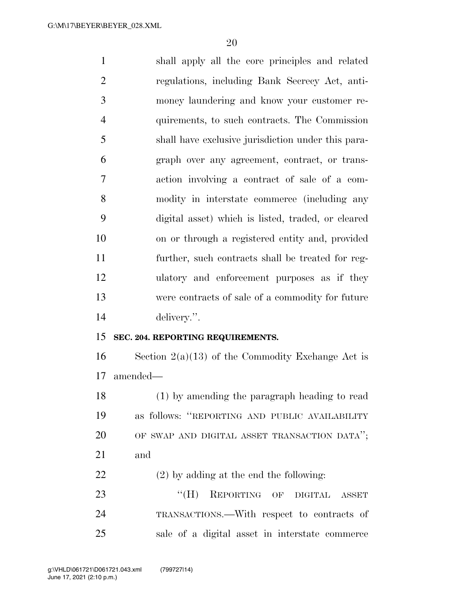| $\mathbf{1}$   | shall apply all the core principles and related     |
|----------------|-----------------------------------------------------|
| $\overline{2}$ | regulations, including Bank Secrecy Act, anti-      |
| $\mathfrak{Z}$ | money laundering and know your customer re-         |
| $\overline{4}$ | quirements, to such contracts. The Commission       |
| 5              | shall have exclusive jurisdiction under this para-  |
| 6              | graph over any agreement, contract, or trans-       |
| 7              | action involving a contract of sale of a com-       |
| 8              | modity in interstate commerce (including any        |
| 9              | digital asset) which is listed, traded, or cleared  |
| 10             | on or through a registered entity and, provided     |
| 11             | further, such contracts shall be treated for reg-   |
| 12             | ulatory and enforcement purposes as if they         |
| 13             | were contracts of sale of a commodity for future    |
| 14             | delivery.".                                         |
| 15             | SEC. 204. REPORTING REQUIREMENTS.                   |
| 16             | Section $2(a)(13)$ of the Commodity Exchange Act is |
| 17             | amended—                                            |
| 18             | (1) by amending the paragraph heading to read       |
| 19             | as follows: "REPORTING AND PUBLIC AVAILABILITY      |
| 20             | OF SWAP AND DIGITAL ASSET TRANSACTION DATA";        |
| 21             | and                                                 |
|                |                                                     |

(2) by adding at the end the following:

23 "(H) REPORTING OF DIGITAL ASSET TRANSACTIONS.—With respect to contracts of sale of a digital asset in interstate commerce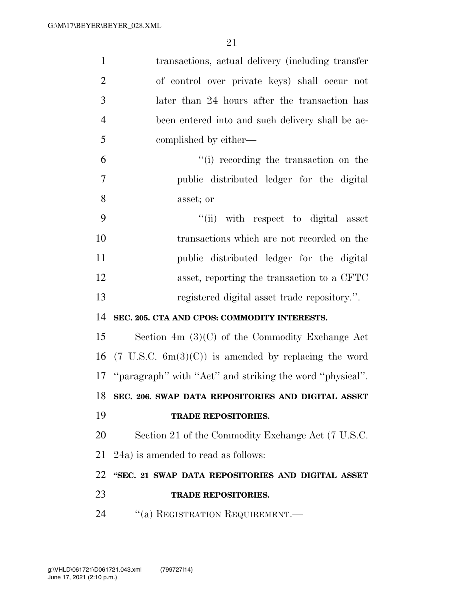| $\mathbf{1}$   | transactions, actual delivery (including transfer                              |
|----------------|--------------------------------------------------------------------------------|
| $\overline{2}$ | of control over private keys) shall occur not                                  |
| 3              | later than 24 hours after the transaction has                                  |
| $\overline{4}$ | been entered into and such delivery shall be ac-                               |
| 5              | complished by either—                                                          |
| 6              | "(i) recording the transaction on the                                          |
| 7              | public distributed ledger for the digital                                      |
| 8              | asset; or                                                                      |
| 9              | "(ii) with respect to digital asset                                            |
| 10             | transactions which are not recorded on the                                     |
| 11             | public distributed ledger for the digital                                      |
| 12             | asset, reporting the transaction to a CFTC                                     |
| 13             | registered digital asset trade repository.".                                   |
| 14             | SEC. 205. CTA AND CPOS: COMMODITY INTERESTS.                                   |
| 15             | Section 4m $(3)(C)$ of the Commodity Exchange Act                              |
| 16             | $(7 \text{ U.S.C. } 6 \text{m}(3)(\text{C}))$ is amended by replacing the word |
|                | 17 "paragraph" with "Act" and striking the word "physical".                    |
|                | 18 SEC. 206. SWAP DATA REPOSITORIES AND DIGITAL ASSET                          |
| 19             | <b>TRADE REPOSITORIES.</b>                                                     |
| 20             | Section 21 of the Commodity Exchange Act (7 U.S.C.                             |
| 21             | 24a) is amended to read as follows:                                            |
| 22             | "SEC. 21 SWAP DATA REPOSITORIES AND DIGITAL ASSET                              |
| 23             | <b>TRADE REPOSITORIES.</b>                                                     |
| 24             | "(a) REGISTRATION REQUIREMENT.—                                                |
|                |                                                                                |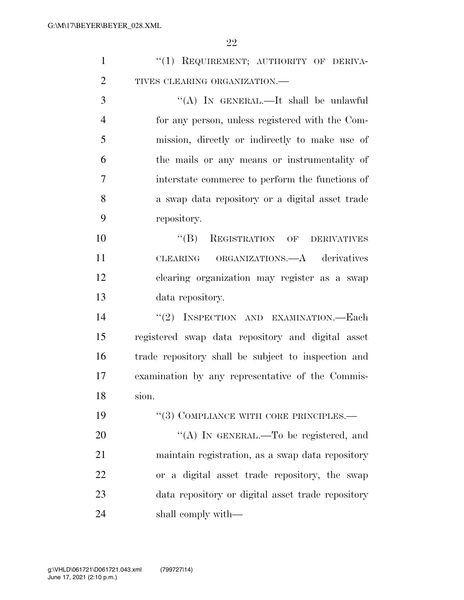| $\mathbf{1}$   | "(1) REQUIREMENT; AUTHORITY OF DERIVA-              |
|----------------|-----------------------------------------------------|
| $\overline{2}$ | TIVES CLEARING ORGANIZATION.-                       |
| 3              | "(A) IN GENERAL.—It shall be unlawful               |
| $\overline{4}$ | for any person, unless registered with the Com-     |
| 5              | mission, directly or indirectly to make use of      |
| 6              | the mails or any means or instrumentality of        |
| 7              | interstate commerce to perform the functions of     |
| 8              | a swap data repository or a digital asset trade     |
| 9              | repository.                                         |
| 10             | ``(B)<br>REGISTRATION OF DERIVATIVES                |
| 11             | CLEARING ORGANIZATIONS.—A derivatives               |
| 12             | clearing organization may register as a swap        |
| 13             | data repository.                                    |
| 14             | "(2) INSPECTION AND EXAMINATION.—Each               |
| 15             | registered swap data repository and digital asset   |
| 16             | trade repository shall be subject to inspection and |
| 17             | examination by any representative of the Commis-    |
| 18             | sion.                                               |
| 19             | "(3) COMPLIANCE WITH CORE PRINCIPLES.—              |
| 20             | "(A) IN GENERAL.—To be registered, and              |
| 21             | maintain registration, as a swap data repository    |
| 22             | or a digital asset trade repository, the swap       |
| 23             | data repository or digital asset trade repository   |

shall comply with—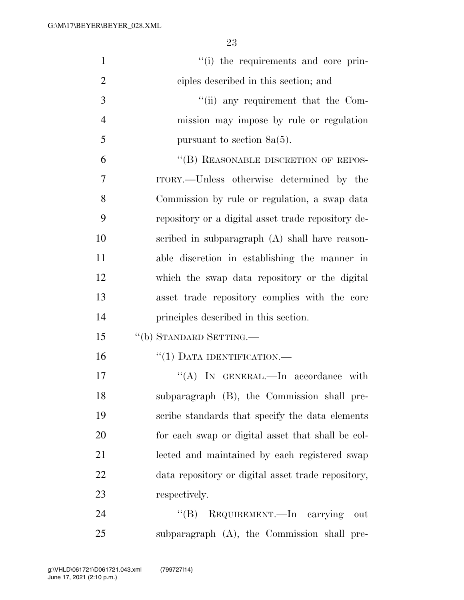| $\mathbf{1}$   | "(i) the requirements and core prin-               |
|----------------|----------------------------------------------------|
| 2              | ciples described in this section; and              |
| 3              | "(ii) any requirement that the Com-                |
| $\overline{4}$ | mission may impose by rule or regulation           |
| 5              | pursuant to section $8a(5)$ .                      |
| 6              | "(B) REASONABLE DISCRETION OF REPOS-               |
| 7              | ITORY.—Unless otherwise determined by the          |
| 8              | Commission by rule or regulation, a swap data      |
| 9              | repository or a digital asset trade repository de- |
| 10             | scribed in subparagraph (A) shall have reason-     |
| 11             | able discretion in establishing the manner in      |
| 12             | which the swap data repository or the digital      |
| 13             | asset trade repository complies with the core      |
| 14             | principles described in this section.              |
| 15             | "(b) STANDARD SETTING.—                            |
| 16             | $``(1)$ DATA IDENTIFICATION.—                      |
| 17             | "(A) IN GENERAL.—In accordance with                |
| 18             | subparagraph (B), the Commission shall pre-        |
| 19             | scribe standards that specify the data elements    |
| 20             | for each swap or digital asset that shall be col-  |
| 21             | lected and maintained by each registered swap      |
| 22             | data repository or digital asset trade repository, |
| 23             | respectively.                                      |
| 24             | REQUIREMENT. - In carrying<br>$\lq\lq (B)$<br>out  |
| 25             | subparagraph (A), the Commission shall pre-        |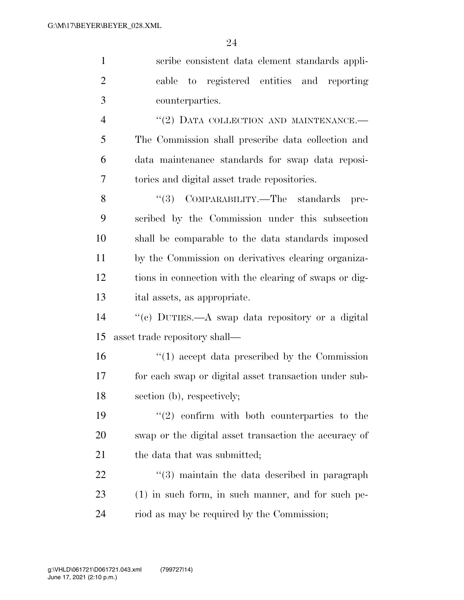| $\mathbf{1}$   | scribe consistent data element standards appli-               |
|----------------|---------------------------------------------------------------|
| $\overline{2}$ | to registered entities and reporting<br>cable                 |
| 3              | counterparties.                                               |
| $\overline{4}$ | "(2) DATA COLLECTION AND MAINTENANCE.-                        |
| 5              | The Commission shall prescribe data collection and            |
| 6              | data maintenance standards for swap data reposi-              |
| 7              | tories and digital asset trade repositories.                  |
| 8              | "(3) $COMPARABILITY.—The standards$<br>pre-                   |
| 9              | scribed by the Commission under this subsection               |
| 10             | shall be comparable to the data standards imposed             |
| 11             | by the Commission on derivatives clearing organiza-           |
| 12             | tions in connection with the clearing of swaps or dig-        |
|                |                                                               |
| 13             | ital assets, as appropriate.                                  |
| 14             | "(c) DUTIES.—A swap data repository or a digital              |
| 15             | asset trade repository shall—                                 |
| 16             | $\cdot\cdot\cdot(1)$ accept data prescribed by the Commission |
| 17             | for each swap or digital asset transaction under sub-         |
| 18             | section (b), respectively;                                    |
| 19             | $(2)$ confirm with both counterparties to the                 |
| 20             | swap or the digital asset transaction the accuracy of         |
| 21             | the data that was submitted;                                  |
| 22             | $\cdot\cdot\cdot(3)$ maintain the data described in paragraph |
| 23             | (1) in such form, in such manner, and for such pe-            |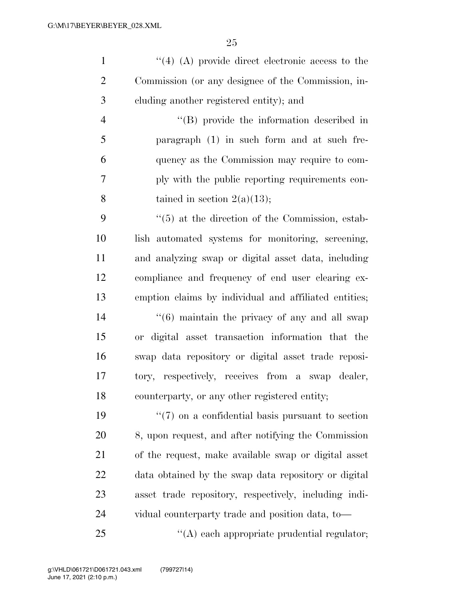''(4) (A) provide direct electronic access to the Commission (or any designee of the Commission, in-cluding another registered entity); and

 ''(B) provide the information described in paragraph (1) in such form and at such fre- quency as the Commission may require to com- ply with the public reporting requirements con-8 tained in section  $2(a)(13)$ ;

9 ''(5) at the direction of the Commission, estab- lish automated systems for monitoring, screening, and analyzing swap or digital asset data, including compliance and frequency of end user clearing ex- emption claims by individual and affiliated entities;  $\frac{14}{14}$  ''(6) maintain the privacy of any and all swap or digital asset transaction information that the swap data repository or digital asset trade reposi- tory, respectively, receives from a swap dealer, counterparty, or any other registered entity;

 $\frac{1}{2}$  (7) on a confidential basis pursuant to section 8, upon request, and after notifying the Commission of the request, make available swap or digital asset data obtained by the swap data repository or digital asset trade repository, respectively, including indi- vidual counterparty trade and position data, to—  $\langle (A)$  each appropriate prudential regulator;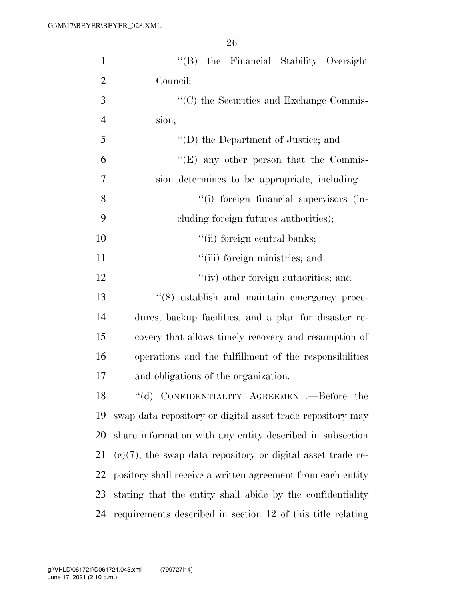| $\mathbf{1}$   | "(B) the Financial Stability Oversight                         |
|----------------|----------------------------------------------------------------|
| $\overline{2}$ | Council;                                                       |
| 3              | $\lq\lq$ (C) the Securities and Exchange Commis-               |
| $\overline{4}$ | sion;                                                          |
| 5              | "(D) the Department of Justice; and                            |
| 6              | $\lq\lq$ (E) any other person that the Commis-                 |
| $\overline{7}$ | sion determines to be appropriate, including-                  |
| 8              | "(i) foreign financial supervisors (in-                        |
| 9              | cluding foreign futures authorities);                          |
| 10             | "(ii) foreign central banks;                                   |
| 11             | "(iii) foreign ministries; and                                 |
| 12             | "(iv) other foreign authorities; and                           |
| 13             | "(8) establish and maintain emergency proce-                   |
| 14             | dures, backup facilities, and a plan for disaster re-          |
| 15             | covery that allows timely recovery and resumption of           |
| 16             | operations and the fulfillment of the responsibilities         |
| 17             | and obligations of the organization.                           |
| 18             | "(d) CONFIDENTIALITY AGREEMENT.—Before the                     |
| 19             | swap data repository or digital asset trade repository may     |
| 20             | share information with any entity described in subsection      |
| 21             | $(e)(7)$ , the swap data repository or digital asset trade re- |
| 22             | pository shall receive a written agreement from each entity    |
| 23             | stating that the entity shall abide by the confidentiality     |
| 24             | requirements described in section 12 of this title relating    |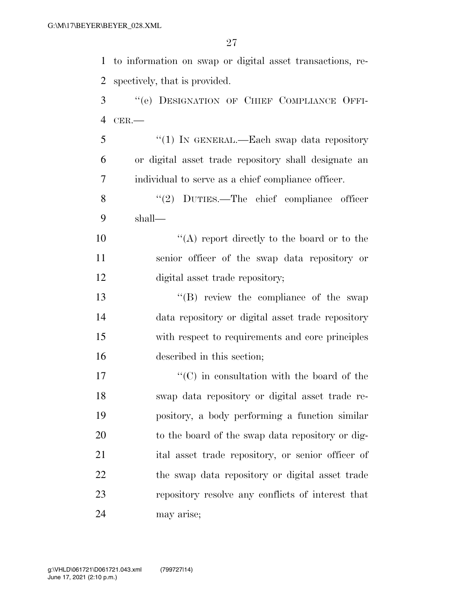to information on swap or digital asset transactions, re- spectively, that is provided. ''(e) DESIGNATION OF CHIEF COMPLIANCE OFFI- CER.— 5 "(1) In GENERAL.—Each swap data repository or digital asset trade repository shall designate an individual to serve as a chief compliance officer. 8 "(2) DUTIES.—The chief compliance officer shall—  $\langle (A) \rangle$  report directly to the board or to the senior officer of the swap data repository or digital asset trade repository; 13 ''(B) review the compliance of the swap data repository or digital asset trade repository with respect to requirements and core principles described in this section; 17 ''(C) in consultation with the board of the swap data repository or digital asset trade re- pository, a body performing a function similar to the board of the swap data repository or dig- ital asset trade repository, or senior officer of the swap data repository or digital asset trade repository resolve any conflicts of interest that may arise;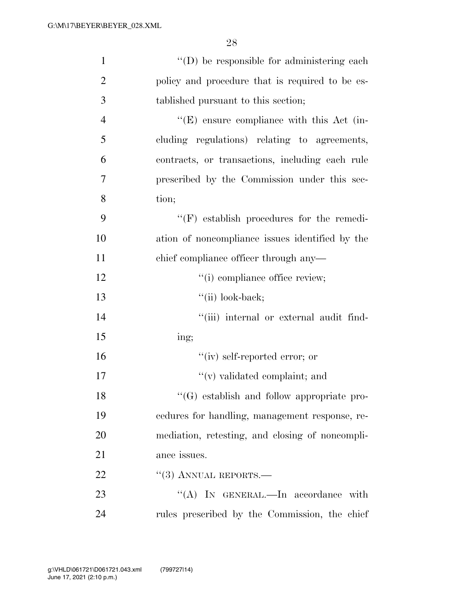| $\mathbf{1}$   | $\lq\lq$ be responsible for administering each   |
|----------------|--------------------------------------------------|
| $\overline{2}$ | policy and procedure that is required to be es-  |
| 3              | tablished pursuant to this section;              |
| $\overline{4}$ | $\lq\lq(E)$ ensure compliance with this Act (in- |
| 5              | cluding regulations) relating to agreements,     |
| 6              | contracts, or transactions, including each rule  |
| 7              | prescribed by the Commission under this sec-     |
| 8              | tion;                                            |
| 9              | "(F) establish procedures for the remedi-        |
| 10             | ation of noncompliance issues identified by the  |
| 11             | chief compliance officer through any—            |
| 12             | "(i) compliance office review;                   |
| 13             | "(ii) look-back;                                 |
| 14             | "(iii) internal or external audit find-          |
| 15             | ing;                                             |
| 16             | "(iv) self-reported error; or                    |
| 17             | "(v) validated complaint; and                    |
| 18             | "(G) establish and follow appropriate pro-       |
| 19             | cedures for handling, management response, re-   |
| 20             | mediation, retesting, and closing of noncompli-  |
| 21             | ance issues.                                     |
| 22             | $``(3)$ ANNUAL REPORTS.—                         |
| 23             | "(A) IN GENERAL.—In accordance with              |
| 24             | rules prescribed by the Commission, the chief    |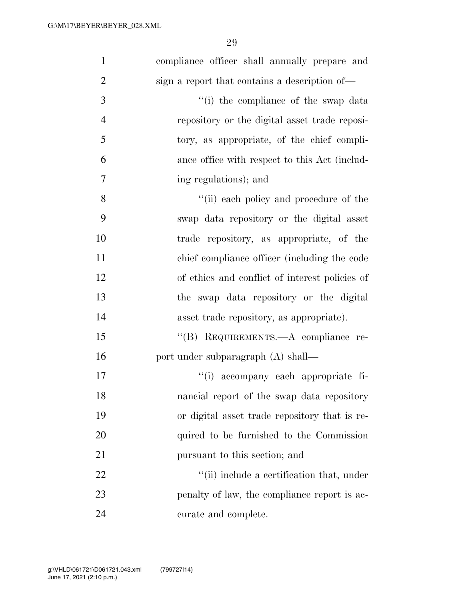| $\mathbf{1}$   | compliance officer shall annually prepare and  |
|----------------|------------------------------------------------|
| $\overline{2}$ | sign a report that contains a description of—  |
| 3              | "(i) the compliance of the swap data           |
| $\overline{4}$ | repository or the digital asset trade reposi-  |
| 5              | tory, as appropriate, of the chief compli-     |
| 6              | ance office with respect to this Act (includ-  |
| 7              | ing regulations); and                          |
| 8              | "(ii) each policy and procedure of the         |
| 9              | swap data repository or the digital asset      |
| 10             | trade repository, as appropriate, of the       |
| 11             | chief compliance officer (including the code   |
| 12             | of ethics and conflict of interest policies of |
| 13             | the swap data repository or the digital        |
| 14             | asset trade repository, as appropriate).       |
| 15             | "(B) REQUIREMENTS.—A compliance re-            |
| 16             | port under subparagraph (A) shall—             |
| 17             | "(i) accompany each appropriate fi-            |
| 18             | nancial report of the swap data repository     |
| 19             | or digital asset trade repository that is re-  |
| 20             | quired to be furnished to the Commission       |
| 21             | pursuant to this section; and                  |
| 22             | "(ii) include a certification that, under      |
| 23             | penalty of law, the compliance report is ac-   |
| 24             | curate and complete.                           |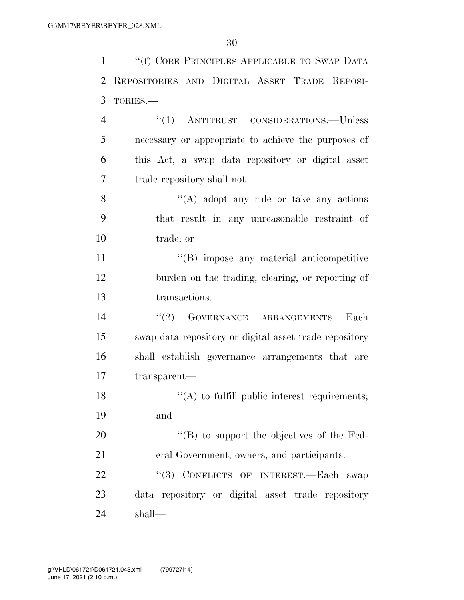''(f) CORE PRINCIPLES APPLICABLE TO SWAP DATA

| 2              | REPOSITORIES AND DIGITAL ASSET TRADE REPOSI-           |
|----------------|--------------------------------------------------------|
| 3              | TORIES.-                                               |
| $\overline{4}$ | "(1) ANTITRUST CONSIDERATIONS.—Unless                  |
| 5              | necessary or appropriate to achieve the purposes of    |
| 6              | this Act, a swap data repository or digital asset      |
| 7              | trade repository shall not—                            |
| 8              | $\lq\lq$ adopt any rule or take any actions            |
| 9              | that result in any unreasonable restraint of           |
| 10             | trade; or                                              |
| 11             | "(B) impose any material anticompetitive               |
| 12             | burden on the trading, clearing, or reporting of       |
| 13             | transactions.                                          |
| 14             | "(2) GOVERNANCE ARRANGEMENTS.—Each                     |
| 15             | swap data repository or digital asset trade repository |
| 16             | shall establish governance arrangements that are       |
| 17             | transparent—                                           |
| 18             | $\lq\lq$ to fulfill public interest requirements;      |
| 19             | and                                                    |
| 20             | $\lq\lq (B)$ to support the objectives of the Fed-     |
| 21             | eral Government, owners, and participants.             |
| 22             | "(3) CONFLICTS OF INTEREST. Each swap                  |
| 23             | data repository or digital asset trade repository      |
| 24             | shall—                                                 |
|                |                                                        |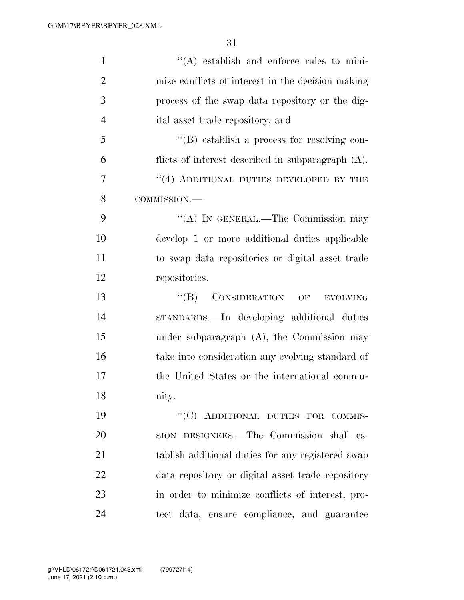| $\mathbf{1}$   | $\lq\lq$ establish and enforce rules to mini-        |
|----------------|------------------------------------------------------|
| $\overline{2}$ | mize conflicts of interest in the decision making    |
| 3              | process of the swap data repository or the dig-      |
| $\overline{4}$ | ital asset trade repository; and                     |
| 5              | $\lq\lq (B)$ establish a process for resolving con-  |
| 6              | flicts of interest described in subparagraph $(A)$ . |
| 7              | $``(4)$ ADDITIONAL DUTIES DEVELOPED BY THE           |
| 8              | COMMISSION.-                                         |
| 9              | "(A) IN GENERAL.—The Commission may                  |
| 10             | develop 1 or more additional duties applicable       |
| 11             | to swap data repositories or digital asset trade     |
| 12             | repositories.                                        |
| 13             | CONSIDERATION OF<br>$\lq\lq (B)$<br><b>EVOLVING</b>  |
| 14             | STANDARDS.—In developing additional duties           |
| 15             | under subparagraph $(A)$ , the Commission may        |
| 16             | take into consideration any evolving standard of     |
| 17             | the United States or the international commu-        |
| 18             | nity.                                                |
| 19             | "(C) ADDITIONAL DUTIES FOR COMMIS-                   |
| 20             | SION DESIGNEES.—The Commission shall es-             |
| 21             | tablish additional duties for any registered swap    |
| 22             | data repository or digital asset trade repository    |
| 23             | in order to minimize conflicts of interest, pro-     |
| 24             |                                                      |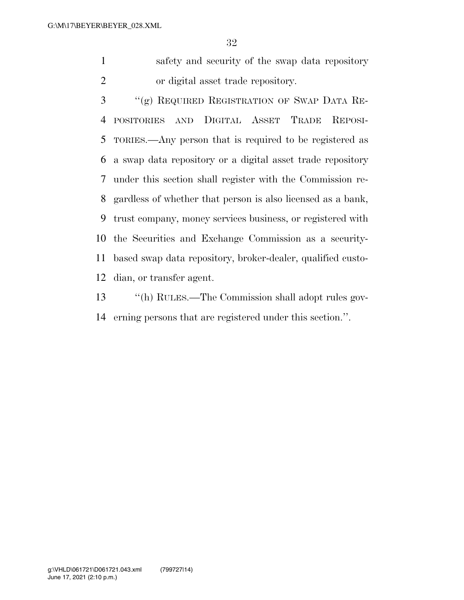safety and security of the swap data repository or digital asset trade repository.

 ''(g) REQUIRED REGISTRATION OF SWAP DATA RE- POSITORIES AND DIGITAL ASSET TRADE REPOSI- TORIES.—Any person that is required to be registered as a swap data repository or a digital asset trade repository under this section shall register with the Commission re- gardless of whether that person is also licensed as a bank, trust company, money services business, or registered with the Securities and Exchange Commission as a security- based swap data repository, broker-dealer, qualified custo-dian, or transfer agent.

 ''(h) RULES.—The Commission shall adopt rules gov-erning persons that are registered under this section.''.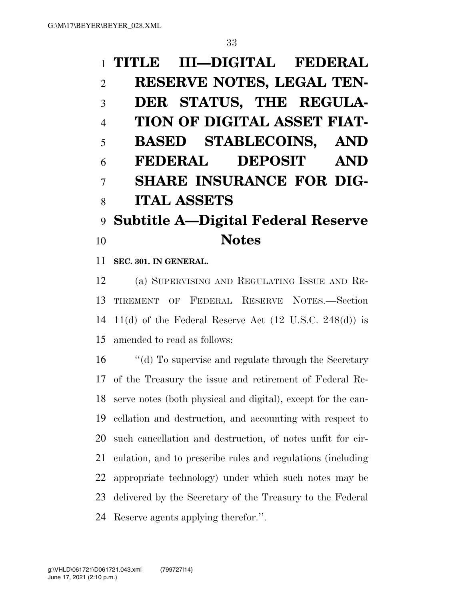# **TITLE III—DIGITAL FEDERAL RESERVE NOTES, LEGAL TEN- DER STATUS, THE REGULA- TION OF DIGITAL ASSET FIAT- BASED STABLECOINS, AND FEDERAL DEPOSIT AND SHARE INSURANCE FOR DIG- ITAL ASSETS Subtitle A—Digital Federal Reserve Notes**

**SEC. 301. IN GENERAL.** 

 (a) SUPERVISING AND REGULATING ISSUE AND RE- TIREMENT OF FEDERAL RESERVE NOTES.—Section 14 11(d) of the Federal Reserve Act  $(12 \text{ U.S.C. } 248(d))$  is amended to read as follows:

 ''(d) To supervise and regulate through the Secretary of the Treasury the issue and retirement of Federal Re- serve notes (both physical and digital), except for the can- cellation and destruction, and accounting with respect to such cancellation and destruction, of notes unfit for cir- culation, and to prescribe rules and regulations (including appropriate technology) under which such notes may be delivered by the Secretary of the Treasury to the Federal Reserve agents applying therefor.''.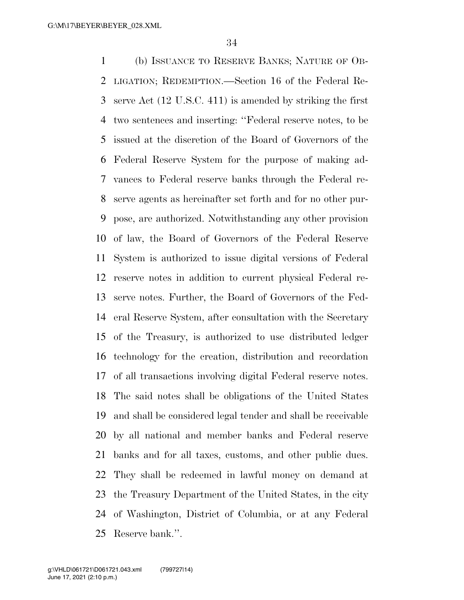(b) ISSUANCE TO RESERVE BANKS; NATURE OF OB- LIGATION; REDEMPTION.—Section 16 of the Federal Re- serve Act (12 U.S.C. 411) is amended by striking the first two sentences and inserting: ''Federal reserve notes, to be issued at the discretion of the Board of Governors of the Federal Reserve System for the purpose of making ad- vances to Federal reserve banks through the Federal re- serve agents as hereinafter set forth and for no other pur- pose, are authorized. Notwithstanding any other provision of law, the Board of Governors of the Federal Reserve System is authorized to issue digital versions of Federal reserve notes in addition to current physical Federal re- serve notes. Further, the Board of Governors of the Fed- eral Reserve System, after consultation with the Secretary of the Treasury, is authorized to use distributed ledger technology for the creation, distribution and recordation of all transactions involving digital Federal reserve notes. The said notes shall be obligations of the United States and shall be considered legal tender and shall be receivable by all national and member banks and Federal reserve banks and for all taxes, customs, and other public dues. They shall be redeemed in lawful money on demand at the Treasury Department of the United States, in the city of Washington, District of Columbia, or at any Federal Reserve bank.''.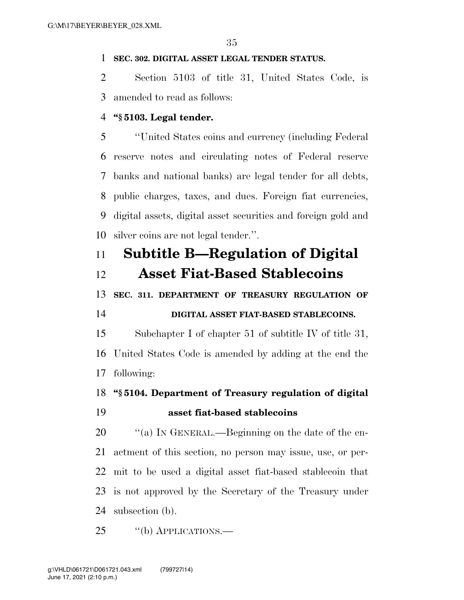### **SEC. 302. DIGITAL ASSET LEGAL TENDER STATUS.**

 Section 5103 of title 31, United States Code, is amended to read as follows:

### **''§ 5103. Legal tender.**

 ''United States coins and currency (including Federal reserve notes and circulating notes of Federal reserve banks and national banks) are legal tender for all debts, public charges, taxes, and dues. Foreign fiat currencies, digital assets, digital asset securities and foreign gold and silver coins are not legal tender.''.

## **Subtitle B—Regulation of Digital Asset Fiat-Based Stablecoins**

**SEC. 311. DEPARTMENT OF TREASURY REGULATION OF** 

### **DIGITAL ASSET FIAT-BASED STABLECOINS.**

 Subchapter I of chapter 51 of subtitle IV of title 31, United States Code is amended by adding at the end the following:

### **''§ 5104. Department of Treasury regulation of digital**

### **asset fiat-based stablecoins**

 $\%$  (a) In GENERAL.—Beginning on the date of the en- actment of this section, no person may issue, use, or per- mit to be used a digital asset fiat-based stablecoin that is not approved by the Secretary of the Treasury under subsection (b).

25 "(b) APPLICATIONS.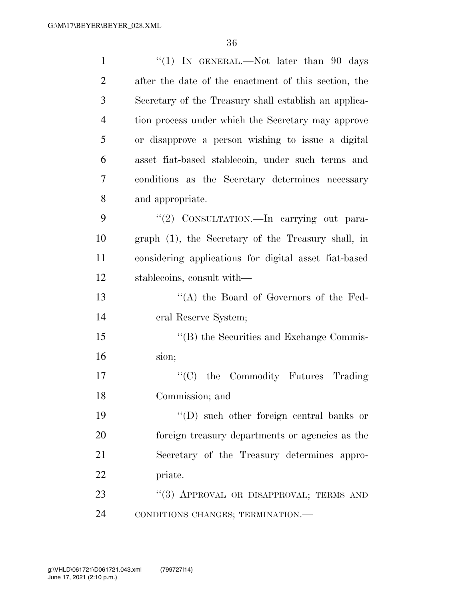| $\mathbf{1}$   | "(1) IN GENERAL.—Not later than 90 days               |
|----------------|-------------------------------------------------------|
| $\overline{2}$ | after the date of the enactment of this section, the  |
| 3              | Secretary of the Treasury shall establish an applica- |
| 4              | tion process under which the Secretary may approve    |
| 5              | or disapprove a person wishing to issue a digital     |
| 6              | asset fiat-based stablecoin, under such terms and     |
| 7              | conditions as the Secretary determines necessary      |
| 8              | and appropriate.                                      |
| 9              | "(2) CONSULTATION.—In carrying out para-              |
| 10             | graph (1), the Secretary of the Treasury shall, in    |
| 11             | considering applications for digital asset fiat-based |
| 12             | stablecoins, consult with—                            |
| 13             | "(A) the Board of Governors of the Fed-               |
| 14             | eral Reserve System;                                  |
| 15             | "(B) the Securities and Exchange Commis-              |
| 16             | sion;                                                 |
| 17             | $\cdot$ (C) the Commodity Futures Trading             |
| 18             | Commission; and                                       |
| 19             | $\lq\lq$ such other foreign central banks or          |
| 20             | foreign treasury departments or agencies as the       |
| 21             | Secretary of the Treasury determines appro-           |
| 22             | priate.                                               |
| 23             | "(3) APPROVAL OR DISAPPROVAL; TERMS AND               |
| 24             | CONDITIONS CHANGES; TERMINATION.-                     |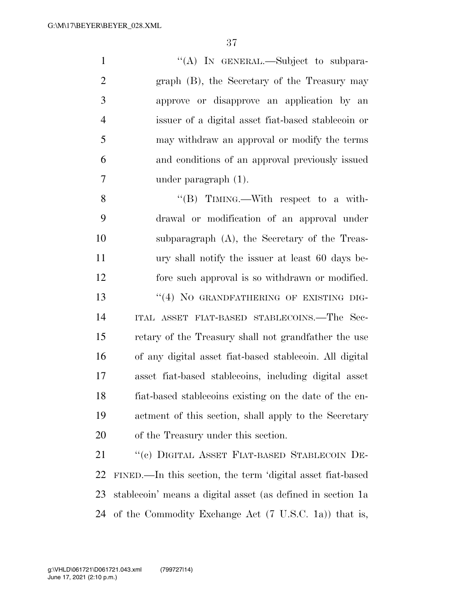| $\mathbf{1}$   | "(A) IN GENERAL.—Subject to subpara-                         |
|----------------|--------------------------------------------------------------|
| $\overline{2}$ | graph (B), the Secretary of the Treasury may                 |
| $\mathfrak{Z}$ | approve or disapprove an application by an                   |
| $\overline{4}$ | issuer of a digital asset fiat-based stablecoin or           |
| $\mathfrak{S}$ | may withdraw an approval or modify the terms                 |
| 6              | and conditions of an approval previously issued              |
| 7              | under paragraph $(1)$ .                                      |
| 8              | "(B) TIMING.—With respect to a with-                         |
| 9              | drawal or modification of an approval under                  |
| 10             | subparagraph (A), the Secretary of the Treas-                |
| 11             | ury shall notify the issuer at least 60 days be-             |
| 12             | fore such approval is so withdrawn or modified.              |
| 13             | "(4) NO GRANDFATHERING OF EXISTING DIG-                      |
| 14             | ITAL ASSET FIAT-BASED STABLECOINS.—The Sec-                  |
| 15             | retary of the Treasury shall not grandfather the use         |
| 16             | of any digital asset fiat-based stablecoin. All digital      |
| 17             | asset fiat-based stablecoins, including digital asset        |
| 18             | fiat-based stablecoins existing on the date of the en-       |
| 19             | actment of this section, shall apply to the Secretary        |
| 20             | of the Treasury under this section.                          |
| 21             | "(c) DIGITAL ASSET FIAT-BASED STABLECOIN DE-                 |
| 22             | FINED.—In this section, the term 'digital asset fiat-based   |
| 23             | stablecoin' means a digital asset (as defined in section 1a) |

of the Commodity Exchange Act (7 U.S.C. 1a)) that is,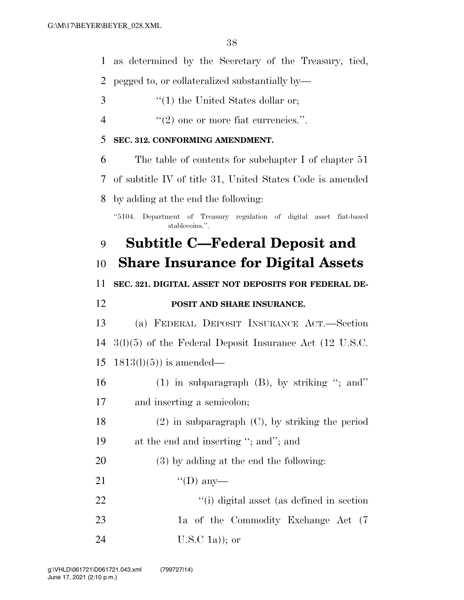as determined by the Secretary of the Treasury, tied,

pegged to, or collateralized substantially by—

- ''(1) the United States dollar or;
- 4  $(2)$  one or more fiat currencies.".

### **SEC. 312. CONFORMING AMENDMENT.**

- The table of contents for subchapter I of chapter 51
- of subtitle IV of title 31, United States Code is amended

by adding at the end the following:

''5104. Department of Treasury regulation of digital asset fiat-based stablecoins.''.

# **Subtitle C—Federal Deposit and**

## **Share Insurance for Digital Assets**

**SEC. 321. DIGITAL ASSET NOT DEPOSITS FOR FEDERAL DE-**

### **POSIT AND SHARE INSURANCE.**

- (a) FEDERAL DEPOSIT INSURANCE ACT.—Section 3(l)(5) of the Federal Deposit Insurance Act (12 U.S.C. 15 1813(1)(5)) is amended—
- (1) in subparagraph (B), by striking ''; and'' and inserting a semicolon;

 (2) in subparagraph (C), by striking the period at the end and inserting ''; and''; and

- (3) by adding at the end the following:
- 21  $"({\rm D})$  any-
- 22 ''(i) digital asset (as defined in section 23 1a of the Commodity Exchange Act (7 U.S.C 1a)); or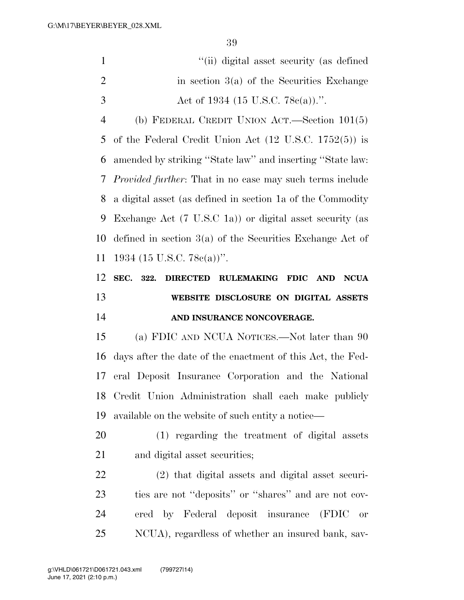| "(ii) digital asset security (as defined     |
|----------------------------------------------|
| in section $3(a)$ of the Securities Exchange |
| Act of 1934 (15 U.S.C. 78 $e(a)$ ).".        |

 (b) FEDERAL CREDIT UNION ACT.—Section 101(5) of the Federal Credit Union Act (12 U.S.C. 1752(5)) is amended by striking ''State law'' and inserting ''State law: *Provided further*: That in no case may such terms include a digital asset (as defined in section 1a of the Commodity Exchange Act (7 U.S.C 1a)) or digital asset security (as defined in section 3(a) of the Securities Exchange Act of 1934 (15 U.S.C. 78c(a))''.

# **SEC. 322. DIRECTED RULEMAKING FDIC AND NCUA WEBSITE DISCLOSURE ON DIGITAL ASSETS AND INSURANCE NONCOVERAGE.**

 (a) FDIC AND NCUA NOTICES.—Not later than 90 days after the date of the enactment of this Act, the Fed- eral Deposit Insurance Corporation and the National Credit Union Administration shall each make publicly available on the website of such entity a notice—

 (1) regarding the treatment of digital assets and digital asset securities;

 (2) that digital assets and digital asset securi- ties are not ''deposits'' or ''shares'' and are not cov- ered by Federal deposit insurance (FDIC or NCUA), regardless of whether an insured bank, sav-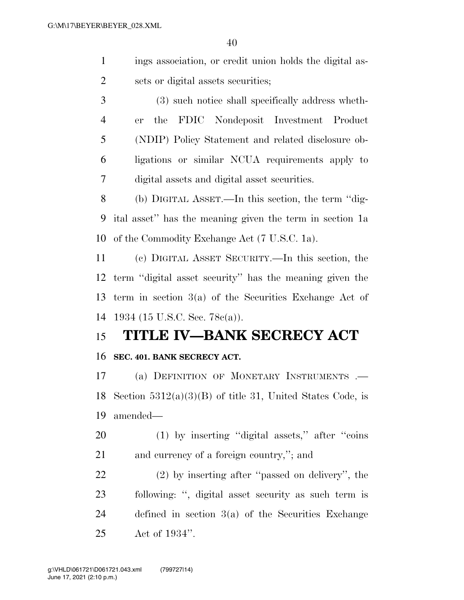- ings association, or credit union holds the digital as-2 sets or digital assets securities;
- (3) such notice shall specifically address wheth- er the FDIC Nondeposit Investment Product (NDIP) Policy Statement and related disclosure ob- ligations or similar NCUA requirements apply to digital assets and digital asset securities.

 (b) DIGITAL ASSET.—In this section, the term ''dig- ital asset'' has the meaning given the term in section 1a of the Commodity Exchange Act (7 U.S.C. 1a).

 (c) DIGITAL ASSET SECURITY.—In this section, the term ''digital asset security'' has the meaning given the term in section 3(a) of the Securities Exchange Act of 1934 (15 U.S.C. Sec. 78c(a)).

# **TITLE IV—BANK SECRECY ACT**

### **SEC. 401. BANK SECRECY ACT.**

 (a) DEFINITION OF MONETARY INSTRUMENTS .— 18 Section  $5312(a)(3)(B)$  of title 31, United States Code, is amended—

 (1) by inserting ''digital assets,'' after ''coins and currency of a foreign country,''; and

 (2) by inserting after ''passed on delivery'', the following: '', digital asset security as such term is defined in section 3(a) of the Securities Exchange Act of 1934''.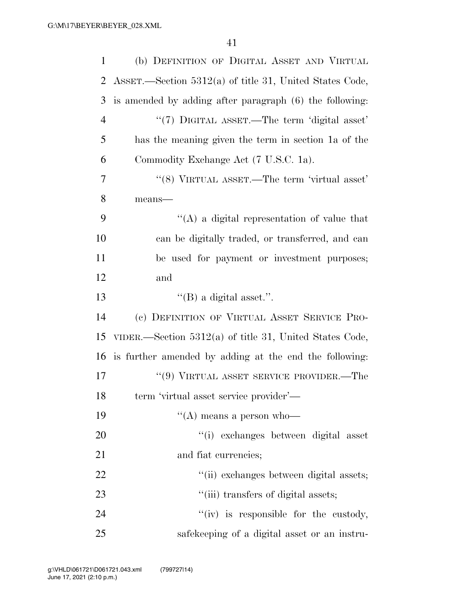| $\mathbf{1}$   | (b) DEFINITION OF DIGITAL ASSET AND VIRTUAL               |
|----------------|-----------------------------------------------------------|
| $\overline{2}$ | ASSET.—Section $5312(a)$ of title 31, United States Code, |
| 3              | is amended by adding after paragraph (6) the following:   |
| $\overline{4}$ | "(7) DIGITAL ASSET.—The term 'digital asset'              |
| 5              | has the meaning given the term in section 1a of the       |
| 6              | Commodity Exchange Act (7 U.S.C. 1a).                     |
| 7              | "(8) VIRTUAL ASSET.—The term 'virtual asset'              |
| 8              | means-                                                    |
| 9              | $\lq\lq$ a digital representation of value that           |
| 10             | can be digitally traded, or transferred, and can          |
| 11             | be used for payment or investment purposes;               |
| 12             | and                                                       |
| 13             | $\lq\lq (B)$ a digital asset.".                           |
| 14             | (c) DEFINITION OF VIRTUAL ASSET SERVICE PRO-              |
| 15             | VIDER.—Section $5312(a)$ of title 31, United States Code, |
| 16             | is further amended by adding at the end the following:    |
| 17             | "(9) VIRTUAL ASSET SERVICE PROVIDER.—The                  |
| 18             | term 'virtual asset service provider'—                    |
| 19             | $\lq\lq$ means a person who-                              |
| 20             | "(i) exchanges between digital asset                      |
| 21             | and fiat currencies;                                      |
| 22             | "(ii) exchanges between digital assets;                   |
| 23             | "(iii) transfers of digital assets;                       |
| 24             | "(iv) is responsible for the custody,                     |
| 25             | safekeeping of a digital asset or an instru-              |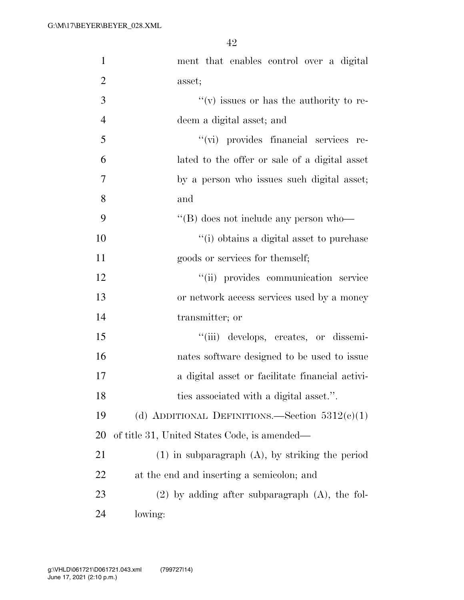| $\mathbf{1}$   | ment that enables control over a digital             |
|----------------|------------------------------------------------------|
| $\overline{2}$ | asset;                                               |
| 3              | $f'(v)$ issues or has the authority to re-           |
| $\overline{4}$ | deem a digital asset; and                            |
| 5              | "(vi) provides financial services re-                |
| 6              | lated to the offer or sale of a digital asset        |
| 7              | by a person who issues such digital asset;           |
| 8              | and                                                  |
| 9              | $\lq\lq$ does not include any person who-            |
| 10             | "(i) obtains a digital asset to purchase             |
| 11             | goods or services for themself;                      |
| 12             | "(ii) provides communication service                 |
| 13             | or network access services used by a money           |
| 14             | transmitter; or                                      |
| 15             | "(iii) develops, creates, or dissemi-                |
| 16             | nates software designed to be used to issue          |
| 17             | a digital asset or facilitate financial activi-      |
| 18             | ties associated with a digital asset.".              |
| 19             | (d) ADDITIONAL DEFINITIONS.—Section $5312(c)(1)$     |
| 20             | of title 31, United States Code, is amended—         |
| 21             | $(1)$ in subparagraph $(A)$ , by striking the period |
| 22             | at the end and inserting a semicolon; and            |
| 23             | $(2)$ by adding after subparagraph $(A)$ , the fol-  |
| 24             | lowing:                                              |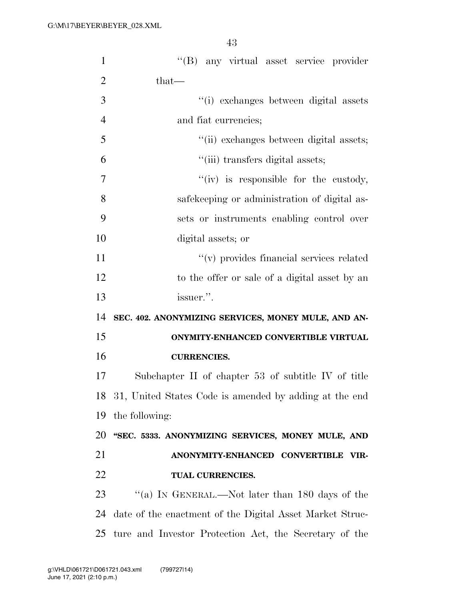| $\mathbf{1}$   | "(B) any virtual asset service provider                   |
|----------------|-----------------------------------------------------------|
| $\overline{2}$ | $that$ —                                                  |
| 3              | "(i) exchanges between digital assets                     |
| $\overline{4}$ | and fiat currencies;                                      |
| 5              | "(ii) exchanges between digital assets;                   |
| 6              | "(iii) transfers digital assets;                          |
| 7              | $``(iv)$ is responsible for the custody,                  |
| 8              | safekeeping or administration of digital as-              |
| 9              | sets or instruments enabling control over                 |
| 10             | digital assets; or                                        |
| 11             | "(v) provides financial services related                  |
| 12             | to the offer or sale of a digital asset by an             |
| 13             | issuer.".                                                 |
| 14             | SEC. 402. ANONYMIZING SERVICES, MONEY MULE, AND AN-       |
| 15             | ONYMITY-ENHANCED CONVERTIBLE VIRTUAL                      |
| 16             | <b>CURRENCIES.</b>                                        |
| 17             |                                                           |
|                | Subchapter II of chapter 53 of subtitle IV of title       |
|                | 18 31, United States Code is amended by adding at the end |
| 19             | the following:                                            |
| 20             | "SEC. 5333. ANONYMIZING SERVICES, MONEY MULE, AND         |
| 21             | ANONYMITY-ENHANCED CONVERTIBLE VIR-                       |
| 22             | TUAL CURRENCIES.                                          |
| 23             | "(a) IN GENERAL.—Not later than 180 days of the           |
| 24             | date of the enactment of the Digital Asset Market Struc-  |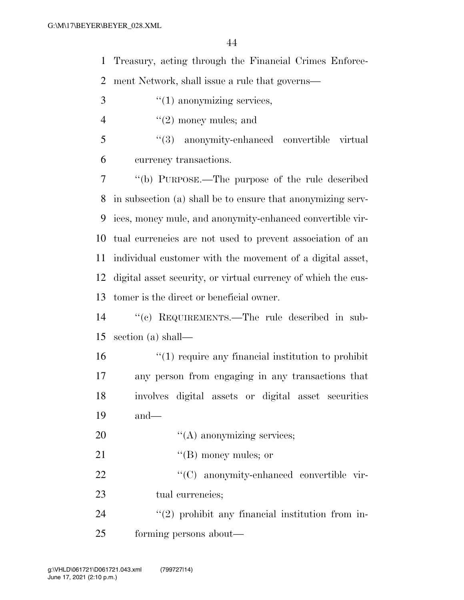Treasury, acting through the Financial Crimes Enforce-ment Network, shall issue a rule that governs—

- ''(1) anonymizing services,
- 4  $\frac{1}{2}$  money mules; and
- ''(3) anonymity-enhanced convertible virtual currency transactions.

 ''(b) PURPOSE.—The purpose of the rule described in subsection (a) shall be to ensure that anonymizing serv- ices, money mule, and anonymity-enhanced convertible vir- tual currencies are not used to prevent association of an individual customer with the movement of a digital asset, digital asset security, or virtual currency of which the cus-tomer is the direct or beneficial owner.

 ''(c) REQUIREMENTS.—The rule described in sub-section (a) shall—

 ''(1) require any financial institution to prohibit any person from engaging in any transactions that involves digital assets or digital asset securities and—

20  $\cdot$  ''(A) anonymizing services;

21  $((B)$  money mules; or

22  $\cdot$  (C) anonymity-enhanced convertible vir-23 tual currencies;

24  $(2)$  prohibit any financial institution from in-forming persons about—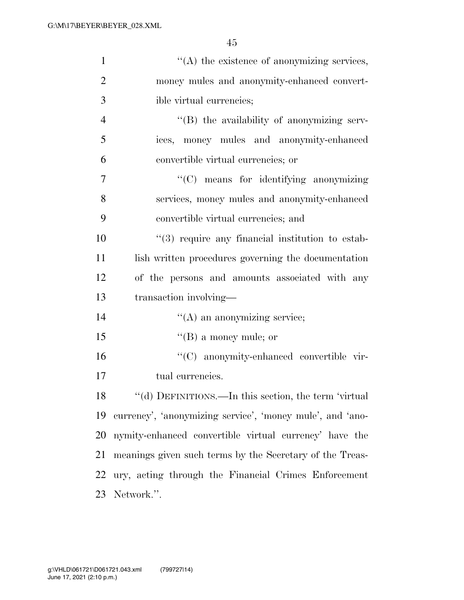| $\mathbf{1}$   | $\lq\lq$ the existence of anonymizing services,           |
|----------------|-----------------------------------------------------------|
| $\overline{2}$ | money mules and anonymity-enhanced convert-               |
| 3              | ible virtual currencies;                                  |
| $\overline{4}$ | "(B) the availability of anonymizing serv-                |
| 5              | ices, money mules and anonymity-enhanced                  |
| 6              | convertible virtual currencies; or                        |
| 7              | $\lq\lq$ means for identifying anonymizing                |
| 8              | services, money mules and anonymity-enhanced              |
| 9              | convertible virtual currencies; and                       |
| 10             | $\lq(3)$ require any financial institution to estab-      |
| 11             | lish written procedures governing the documentation       |
| 12             | of the persons and amounts associated with any            |
| 13             | transaction involving-                                    |
| 14             | $\lq\lq$ (A) an anonymizing service;                      |
| 15             | $\lq\lq (B)$ a money mule; or                             |
| 16             | "(C) anonymity-enhanced convertible vir-                  |
| 17             | tual currencies.                                          |
| 18             | "(d) DEFINITIONS.—In this section, the term 'virtual      |
| 19             | currency', 'anonymizing service', 'money mule', and 'ano- |
| 20             | nymity-enhanced convertible virtual currency' have the    |
| 21             | meanings given such terms by the Secretary of the Treas-  |
| 22             | ury, acting through the Financial Crimes Enforcement      |
| 23             | Network.".                                                |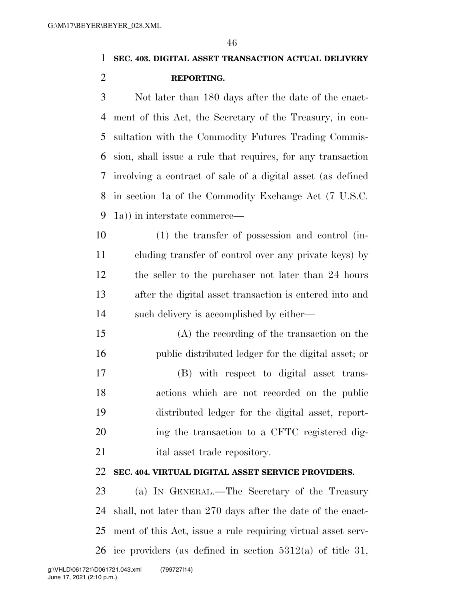**SEC. 403. DIGITAL ASSET TRANSACTION ACTUAL DELIVERY REPORTING.** 

 Not later than 180 days after the date of the enact- ment of this Act, the Secretary of the Treasury, in con- sultation with the Commodity Futures Trading Commis- sion, shall issue a rule that requires, for any transaction involving a contract of sale of a digital asset (as defined in section 1a of the Commodity Exchange Act (7 U.S.C. 1a)) in interstate commerce—

 (1) the transfer of possession and control (in- cluding transfer of control over any private keys) by the seller to the purchaser not later than 24 hours after the digital asset transaction is entered into and such delivery is accomplished by either—

 (A) the recording of the transaction on the public distributed ledger for the digital asset; or (B) with respect to digital asset trans- actions which are not recorded on the public distributed ledger for the digital asset, report- ing the transaction to a CFTC registered dig-21 ital asset trade repository.

### **SEC. 404. VIRTUAL DIGITAL ASSET SERVICE PROVIDERS.**

 (a) IN GENERAL.—The Secretary of the Treasury shall, not later than 270 days after the date of the enact- ment of this Act, issue a rule requiring virtual asset serv-ice providers (as defined in section 5312(a) of title 31,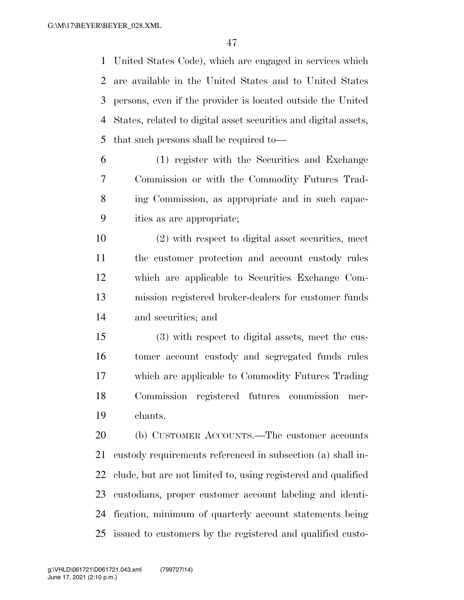United States Code), which are engaged in services which are available in the United States and to United States persons, even if the provider is located outside the United States, related to digital asset securities and digital assets, that such persons shall be required to—

 (1) register with the Securities and Exchange Commission or with the Commodity Futures Trad- ing Commission, as appropriate and in such capac-ities as are appropriate;

 (2) with respect to digital asset securities, meet the customer protection and account custody rules which are applicable to Securities Exchange Com- mission registered broker-dealers for customer funds and securities; and

 (3) with respect to digital assets, meet the cus- tomer account custody and segregated funds rules which are applicable to Commodity Futures Trading Commission registered futures commission mer-chants.

 (b) CUSTOMER ACCOUNTS.—The customer accounts custody requirements referenced in subsection (a) shall in- clude, but are not limited to, using registered and qualified custodians, proper customer account labeling and identi- fication, minimum of quarterly account statements being issued to customers by the registered and qualified custo-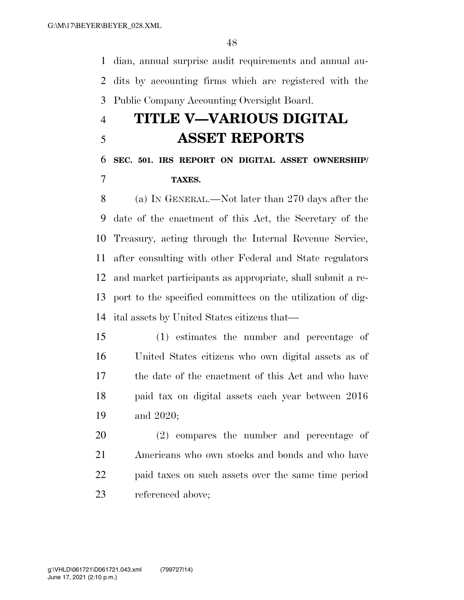dian, annual surprise audit requirements and annual au- dits by accounting firms which are registered with the Public Company Accounting Oversight Board.

# **TITLE V—VARIOUS DIGITAL ASSET REPORTS**

# **SEC. 501. IRS REPORT ON DIGITAL ASSET OWNERSHIP/ TAXES.**

 (a) IN GENERAL.—Not later than 270 days after the date of the enactment of this Act, the Secretary of the Treasury, acting through the Internal Revenue Service, after consulting with other Federal and State regulators and market participants as appropriate, shall submit a re- port to the specified committees on the utilization of dig-ital assets by United States citizens that—

 (1) estimates the number and percentage of United States citizens who own digital assets as of the date of the enactment of this Act and who have paid tax on digital assets each year between 2016 and 2020;

 (2) compares the number and percentage of Americans who own stocks and bonds and who have paid taxes on such assets over the same time period referenced above;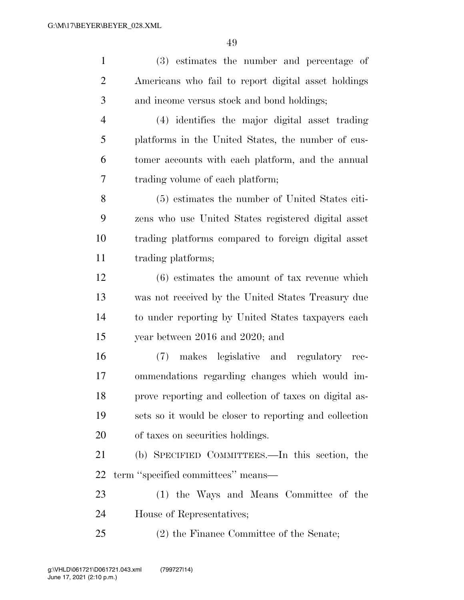| $\mathbf{1}$   | (3) estimates the number and percentage of             |
|----------------|--------------------------------------------------------|
| $\overline{2}$ | Americans who fail to report digital asset holdings    |
| 3              | and income versus stock and bond holdings;             |
| $\overline{4}$ | (4) identifies the major digital asset trading         |
| 5              | platforms in the United States, the number of cus-     |
| 6              | tomer accounts with each platform, and the annual      |
| 7              | trading volume of each platform;                       |
| 8              | (5) estimates the number of United States citi-        |
| 9              | zens who use United States registered digital asset    |
| 10             | trading platforms compared to foreign digital asset    |
| 11             | trading platforms;                                     |
| 12             | $(6)$ estimates the amount of tax revenue which        |
| 13             | was not received by the United States Treasury due     |
| 14             | to under reporting by United States taxpayers each     |
| 15             | year between 2016 and 2020; and                        |
| 16             | (7) makes legislative and regulatory rec-              |
| 17             | ommendations regarding changes which would im-         |
| 18             | prove reporting and collection of taxes on digital as- |
| 19             | sets so it would be closer to reporting and collection |
| 20             | of taxes on securities holdings.                       |
| 21             | (b) SPECIFIED COMMITTEES.—In this section, the         |
| 22             | term "specified committees" means—                     |
| 23             | (1) the Ways and Means Committee of the                |
| 24             | House of Representatives;                              |
| 25             | (2) the Finance Committee of the Senate;               |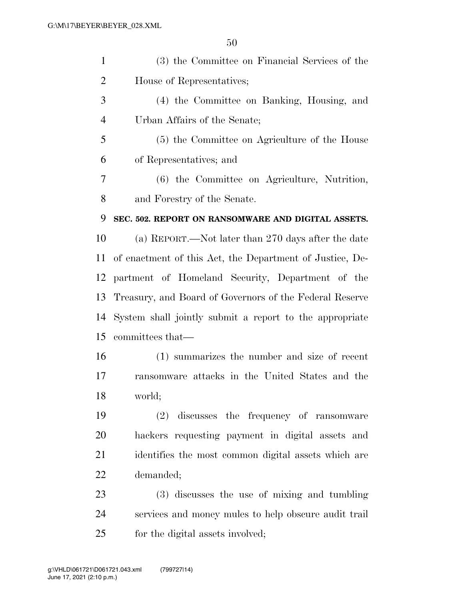| $\mathbf{1}$   | (3) the Committee on Financial Services of the           |
|----------------|----------------------------------------------------------|
| $\overline{2}$ | House of Representatives;                                |
| 3              | (4) the Committee on Banking, Housing, and               |
| $\overline{4}$ | Urban Affairs of the Senate;                             |
| 5              | (5) the Committee on Agriculture of the House            |
| 6              | of Representatives; and                                  |
| 7              | (6) the Committee on Agriculture, Nutrition,             |
| 8              | and Forestry of the Senate.                              |
| 9              | SEC. 502. REPORT ON RANSOMWARE AND DIGITAL ASSETS.       |
| 10             | (a) REPORT.—Not later than 270 days after the date       |
| 11             | of enactment of this Act, the Department of Justice, De- |
| 12             | partment of Homeland Security, Department of the         |
| 13             | Treasury, and Board of Governors of the Federal Reserve  |
| 14             | System shall jointly submit a report to the appropriate  |
| 15             | committees that—                                         |
| 16             | (1) summarizes the number and size of recent             |
| 17             | ransomware attacks in the United States and the          |
| 18             | world;                                                   |
| 19             | (2) discusses the frequency of ransomware                |
| 20             | hackers requesting payment in digital assets and         |
| 21             | identifies the most common digital assets which are      |
| 22             | demanded;                                                |
| 23             | (3) discusses the use of mixing and tumbling             |
| 24             | services and money mules to help obscure audit trail     |
| 25             | for the digital assets involved;                         |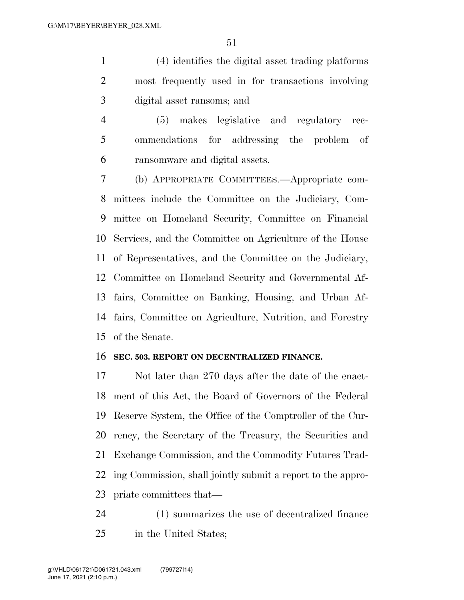(4) identifies the digital asset trading platforms most frequently used in for transactions involving digital asset ransoms; and

 (5) makes legislative and regulatory rec- ommendations for addressing the problem of ransomware and digital assets.

 (b) APPROPRIATE COMMITTEES.—Appropriate com- mittees include the Committee on the Judiciary, Com- mittee on Homeland Security, Committee on Financial Services, and the Committee on Agriculture of the House of Representatives, and the Committee on the Judiciary, Committee on Homeland Security and Governmental Af- fairs, Committee on Banking, Housing, and Urban Af- fairs, Committee on Agriculture, Nutrition, and Forestry of the Senate.

### **SEC. 503. REPORT ON DECENTRALIZED FINANCE.**

 Not later than 270 days after the date of the enact- ment of this Act, the Board of Governors of the Federal Reserve System, the Office of the Comptroller of the Cur- rency, the Secretary of the Treasury, the Securities and Exchange Commission, and the Commodity Futures Trad- ing Commission, shall jointly submit a report to the appro-priate committees that—

 (1) summarizes the use of decentralized finance in the United States;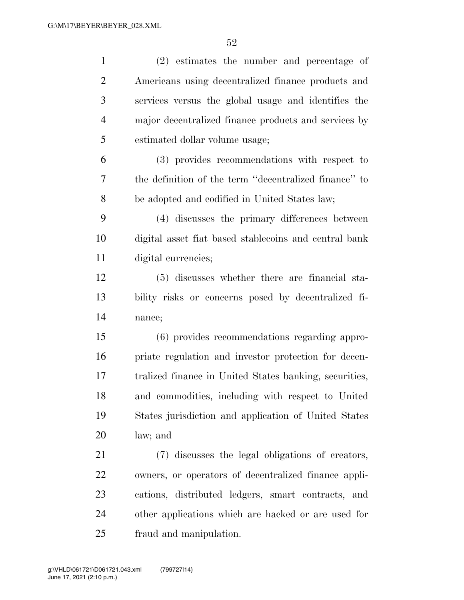| $\mathbf{1}$   | $(2)$ estimates the number and percentage of           |
|----------------|--------------------------------------------------------|
| $\overline{2}$ | Americans using decentralized finance products and     |
| 3              | services versus the global usage and identifies the    |
| $\overline{4}$ | major decentralized finance products and services by   |
| 5              | estimated dollar volume usage;                         |
| 6              | (3) provides recommendations with respect to           |
| 7              | the definition of the term "decentralized finance" to  |
| 8              | be adopted and codified in United States law;          |
| 9              | (4) discusses the primary differences between          |
| 10             | digital asset fiat based stablecoins and central bank  |
| 11             | digital currencies;                                    |
| 12             | (5) discusses whether there are financial sta-         |
| 13             | bility risks or concerns posed by decentralized fi-    |
| 14             | nance;                                                 |
| 15             | (6) provides recommendations regarding appro-          |
| 16             | priate regulation and investor protection for decen-   |
| 17             | tralized finance in United States banking, securities, |
| 18             | and commodities, including with respect to United      |
| 19             | States jurisdiction and application of United States   |
| 20             | law; and                                               |
| 21             | (7) discusses the legal obligations of creators,       |
| <u>22</u>      | owners, or operators of decentralized finance appli-   |
| 23             | cations, distributed ledgers, smart contracts, and     |
| 24             | other applications which are hacked or are used for    |
| 25             | fraud and manipulation.                                |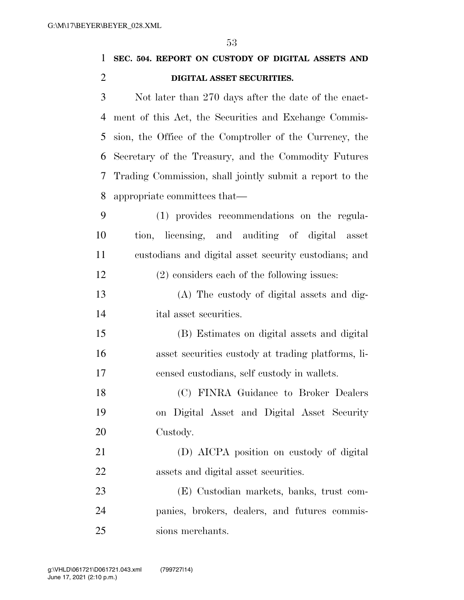**SEC. 504. REPORT ON CUSTODY OF DIGITAL ASSETS AND DIGITAL ASSET SECURITIES.** 

 Not later than 270 days after the date of the enact- ment of this Act, the Securities and Exchange Commis- sion, the Office of the Comptroller of the Currency, the Secretary of the Treasury, and the Commodity Futures Trading Commission, shall jointly submit a report to the appropriate committees that—

 (1) provides recommendations on the regula- tion, licensing, and auditing of digital asset custodians and digital asset security custodians; and (2) considers each of the following issues:

 (A) The custody of digital assets and dig-ital asset securities.

 (B) Estimates on digital assets and digital asset securities custody at trading platforms, li-censed custodians, self custody in wallets.

 (C) FINRA Guidance to Broker Dealers on Digital Asset and Digital Asset Security Custody.

 (D) AICPA position on custody of digital assets and digital asset securities.

 (E) Custodian markets, banks, trust com- panies, brokers, dealers, and futures commis-sions merchants.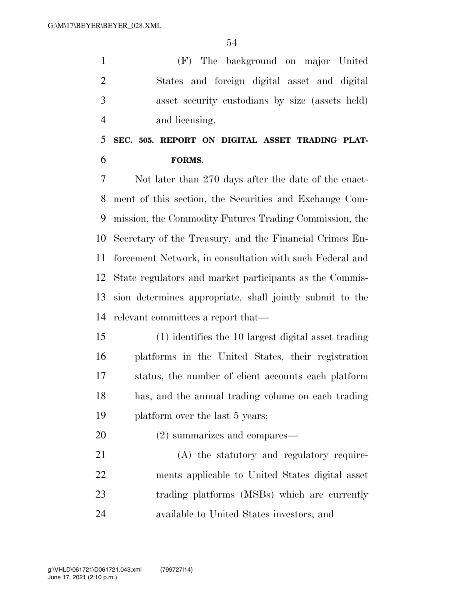(F) The background on major United States and foreign digital asset and digital asset security custodians by size (assets held) and licensing.

## **SEC. 505. REPORT ON DIGITAL ASSET TRADING PLAT-FORMS.**

 Not later than 270 days after the date of the enact- ment of this section, the Securities and Exchange Com- mission, the Commodity Futures Trading Commission, the Secretary of the Treasury, and the Financial Crimes En- forcement Network, in consultation with such Federal and State regulators and market participants as the Commis- sion determines appropriate, shall jointly submit to the relevant committees a report that—

- (1) identifies the 10 largest digital asset trading platforms in the United States, their registration status, the number of client accounts each platform has, and the annual trading volume on each trading platform over the last 5 years;
- (2) summarizes and compares—

 (A) the statutory and regulatory require- ments applicable to United States digital asset trading platforms (MSBs) which are currently available to United States investors; and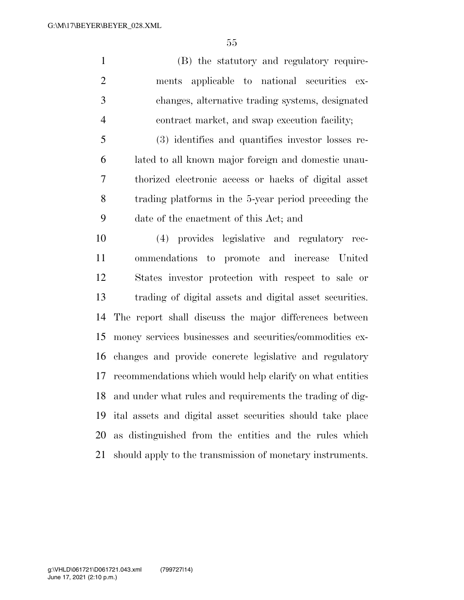(B) the statutory and regulatory require- ments applicable to national securities ex- changes, alternative trading systems, designated contract market, and swap execution facility;

 (3) identifies and quantifies investor losses re- lated to all known major foreign and domestic unau- thorized electronic access or hacks of digital asset trading platforms in the 5-year period preceding the date of the enactment of this Act; and

 (4) provides legislative and regulatory rec- ommendations to promote and increase United States investor protection with respect to sale or trading of digital assets and digital asset securities. The report shall discuss the major differences between money services businesses and securities/commodities ex- changes and provide concrete legislative and regulatory recommendations which would help clarify on what entities and under what rules and requirements the trading of dig- ital assets and digital asset securities should take place as distinguished from the entities and the rules which should apply to the transmission of monetary instruments.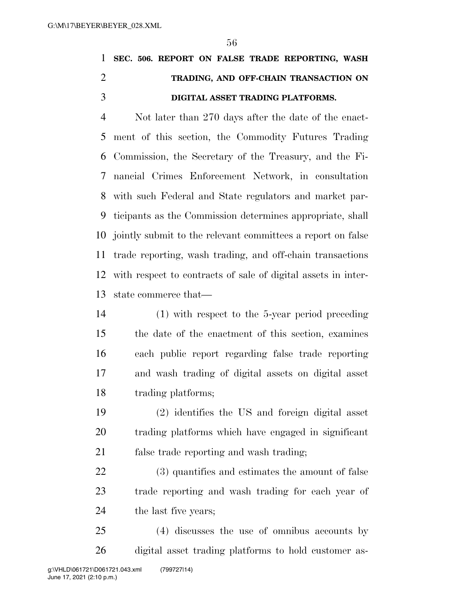# **SEC. 506. REPORT ON FALSE TRADE REPORTING, WASH TRADING, AND OFF-CHAIN TRANSACTION ON DIGITAL ASSET TRADING PLATFORMS.**

 Not later than 270 days after the date of the enact- ment of this section, the Commodity Futures Trading Commission, the Secretary of the Treasury, and the Fi- nancial Crimes Enforcement Network, in consultation with such Federal and State regulators and market par- ticipants as the Commission determines appropriate, shall jointly submit to the relevant committees a report on false trade reporting, wash trading, and off-chain transactions with respect to contracts of sale of digital assets in inter-state commerce that—

 (1) with respect to the 5-year period preceding the date of the enactment of this section, examines each public report regarding false trade reporting and wash trading of digital assets on digital asset trading platforms;

 (2) identifies the US and foreign digital asset trading platforms which have engaged in significant false trade reporting and wash trading;

 (3) quantifies and estimates the amount of false trade reporting and wash trading for each year of the last five years;

 (4) discusses the use of omnibus accounts by digital asset trading platforms to hold customer as-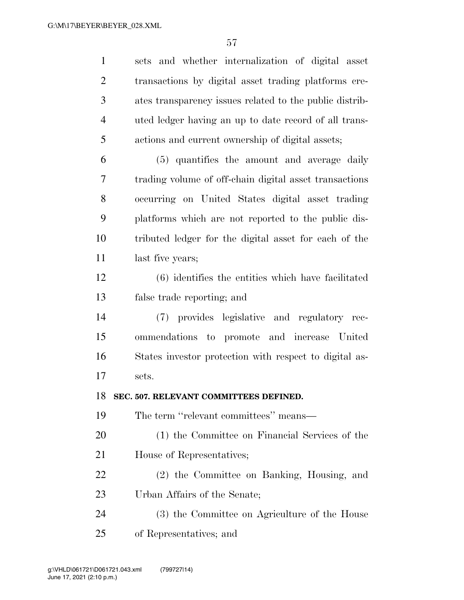| $\mathbf{1}$   | sets and whether internalization of digital asset       |
|----------------|---------------------------------------------------------|
| $\overline{2}$ | transactions by digital asset trading platforms cre-    |
| 3              | ates transparency issues related to the public distrib- |
| $\overline{4}$ | uted ledger having an up to date record of all trans-   |
| 5              | actions and current ownership of digital assets;        |
| 6              | (5) quantifies the amount and average daily             |
| 7              | trading volume of off-chain digital asset transactions  |
| 8              | occurring on United States digital asset trading        |
| 9              | platforms which are not reported to the public dis-     |
| 10             | tributed ledger for the digital asset for each of the   |
| 11             | last five years;                                        |
| 12             | (6) identifies the entities which have facilitated      |
| 13             | false trade reporting; and                              |
| 14             | (7) provides legislative and regulatory rec-            |
| 15             | ommendations to promote and increase United             |
| 16             | States investor protection with respect to digital as-  |
| 17             | sets.                                                   |
| 18             | SEC. 507. RELEVANT COMMITTEES DEFINED.                  |
| 19             | The term "relevant committees" means—                   |
| 20             | (1) the Committee on Financial Services of the          |
| 21             | House of Representatives;                               |
| 22             | (2) the Committee on Banking, Housing, and              |
| 23             | Urban Affairs of the Senate;                            |
| 24             | (3) the Committee on Agriculture of the House           |
| 25             | of Representatives; and                                 |